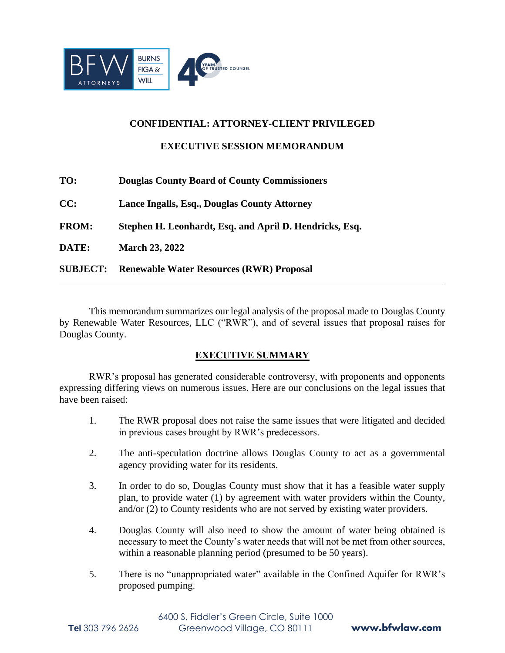

### **CONFIDENTIAL: ATTORNEY-CLIENT PRIVILEGED**

**EXECUTIVE SESSION MEMORANDUM**

| TO:             | <b>Douglas County Board of County Commissioners</b>     |
|-----------------|---------------------------------------------------------|
| CC:             | Lance Ingalls, Esq., Douglas County Attorney            |
| <b>FROM:</b>    | Stephen H. Leonhardt, Esq. and April D. Hendricks, Esq. |
| DATE:           | <b>March 23, 2022</b>                                   |
| <b>SUBJECT:</b> | <b>Renewable Water Resources (RWR) Proposal</b>         |

This memorandum summarizes our legal analysis of the proposal made to Douglas County by Renewable Water Resources, LLC ("RWR"), and of several issues that proposal raises for Douglas County.

## **EXECUTIVE SUMMARY**

RWR's proposal has generated considerable controversy, with proponents and opponents expressing differing views on numerous issues. Here are our conclusions on the legal issues that have been raised:

- 1. The RWR proposal does not raise the same issues that were litigated and decided in previous cases brought by RWR's predecessors.
- 2. The anti-speculation doctrine allows Douglas County to act as a governmental agency providing water for its residents.
- 3. In order to do so, Douglas County must show that it has a feasible water supply plan, to provide water (1) by agreement with water providers within the County, and/or (2) to County residents who are not served by existing water providers.
- 4. Douglas County will also need to show the amount of water being obtained is necessary to meet the County's water needs that will not be met from other sources, within a reasonable planning period (presumed to be 50 years).
- 5. There is no "unappropriated water" available in the Confined Aquifer for RWR's proposed pumping.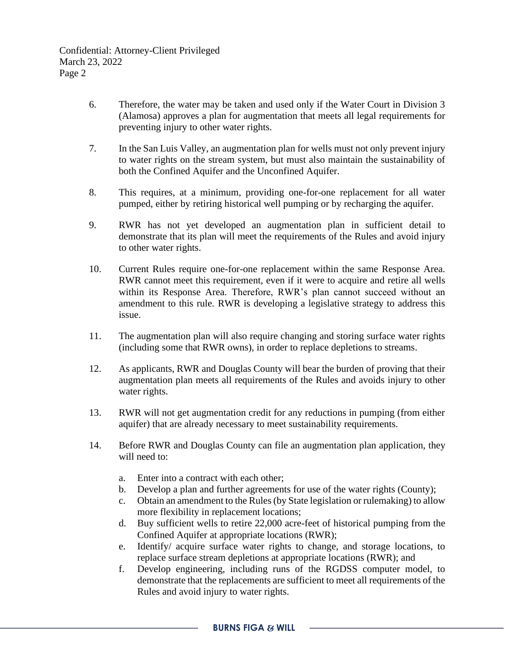- 6. Therefore, the water may be taken and used only if the Water Court in Division 3 (Alamosa) approves a plan for augmentation that meets all legal requirements for preventing injury to other water rights.
- 7. In the San Luis Valley, an augmentation plan for wells must not only prevent injury to water rights on the stream system, but must also maintain the sustainability of both the Confined Aquifer and the Unconfined Aquifer.
- 8. This requires, at a minimum, providing one-for-one replacement for all water pumped, either by retiring historical well pumping or by recharging the aquifer.
- 9. RWR has not yet developed an augmentation plan in sufficient detail to demonstrate that its plan will meet the requirements of the Rules and avoid injury to other water rights.
- 10. Current Rules require one-for-one replacement within the same Response Area. RWR cannot meet this requirement, even if it were to acquire and retire all wells within its Response Area. Therefore, RWR's plan cannot succeed without an amendment to this rule. RWR is developing a legislative strategy to address this issue.
- 11. The augmentation plan will also require changing and storing surface water rights (including some that RWR owns), in order to replace depletions to streams.
- 12. As applicants, RWR and Douglas County will bear the burden of proving that their augmentation plan meets all requirements of the Rules and avoids injury to other water rights.
- 13. RWR will not get augmentation credit for any reductions in pumping (from either aquifer) that are already necessary to meet sustainability requirements.
- 14. Before RWR and Douglas County can file an augmentation plan application, they will need to:
	- a. Enter into a contract with each other;
	- b. Develop a plan and further agreements for use of the water rights (County);
	- c. Obtain an amendment to the Rules (by State legislation or rulemaking) to allow more flexibility in replacement locations;
	- d. Buy sufficient wells to retire 22,000 acre-feet of historical pumping from the Confined Aquifer at appropriate locations (RWR);
	- e. Identify/ acquire surface water rights to change, and storage locations, to replace surface stream depletions at appropriate locations (RWR); and
	- f. Develop engineering, including runs of the RGDSS computer model, to demonstrate that the replacements are sufficient to meet all requirements of the Rules and avoid injury to water rights.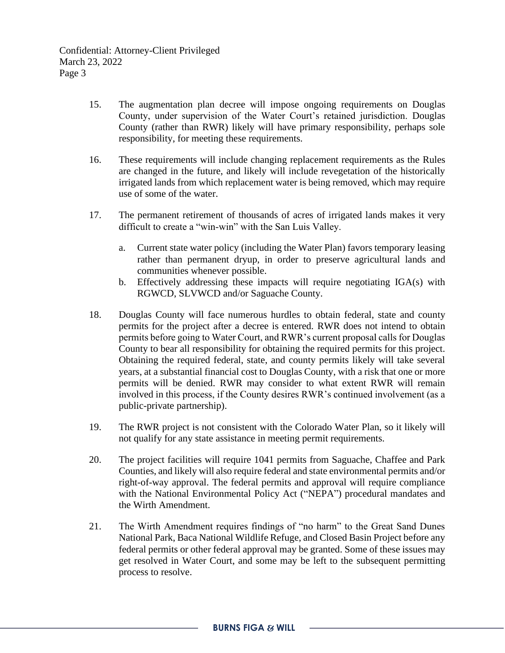- 15. The augmentation plan decree will impose ongoing requirements on Douglas County, under supervision of the Water Court's retained jurisdiction. Douglas County (rather than RWR) likely will have primary responsibility, perhaps sole responsibility, for meeting these requirements.
- 16. These requirements will include changing replacement requirements as the Rules are changed in the future, and likely will include revegetation of the historically irrigated lands from which replacement water is being removed, which may require use of some of the water.
- 17. The permanent retirement of thousands of acres of irrigated lands makes it very difficult to create a "win-win" with the San Luis Valley.
	- a. Current state water policy (including the Water Plan) favors temporary leasing rather than permanent dryup, in order to preserve agricultural lands and communities whenever possible.
	- b. Effectively addressing these impacts will require negotiating IGA(s) with RGWCD, SLVWCD and/or Saguache County.
- 18. Douglas County will face numerous hurdles to obtain federal, state and county permits for the project after a decree is entered. RWR does not intend to obtain permits before going to Water Court, and RWR's current proposal calls for Douglas County to bear all responsibility for obtaining the required permits for this project. Obtaining the required federal, state, and county permits likely will take several years, at a substantial financial cost to Douglas County, with a risk that one or more permits will be denied. RWR may consider to what extent RWR will remain involved in this process, if the County desires RWR's continued involvement (as a public-private partnership).
- 19. The RWR project is not consistent with the Colorado Water Plan, so it likely will not qualify for any state assistance in meeting permit requirements.
- 20. The project facilities will require 1041 permits from Saguache, Chaffee and Park Counties, and likely will also require federal and state environmental permits and/or right-of-way approval. The federal permits and approval will require compliance with the National Environmental Policy Act ("NEPA") procedural mandates and the Wirth Amendment.
- 21. The Wirth Amendment requires findings of "no harm" to the Great Sand Dunes National Park, Baca National Wildlife Refuge, and Closed Basin Project before any federal permits or other federal approval may be granted. Some of these issues may get resolved in Water Court, and some may be left to the subsequent permitting process to resolve.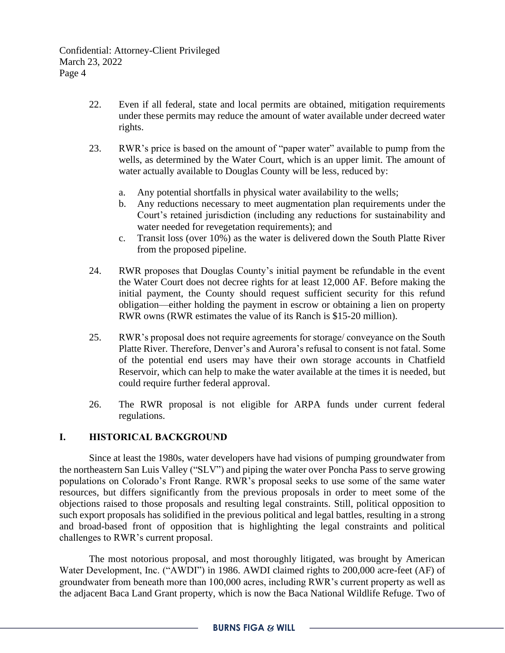- 22. Even if all federal, state and local permits are obtained, mitigation requirements under these permits may reduce the amount of water available under decreed water rights.
- 23. RWR's price is based on the amount of "paper water" available to pump from the wells, as determined by the Water Court, which is an upper limit. The amount of water actually available to Douglas County will be less, reduced by:
	- a. Any potential shortfalls in physical water availability to the wells;
	- b. Any reductions necessary to meet augmentation plan requirements under the Court's retained jurisdiction (including any reductions for sustainability and water needed for revegetation requirements); and
	- c. Transit loss (over 10%) as the water is delivered down the South Platte River from the proposed pipeline.
- 24. RWR proposes that Douglas County's initial payment be refundable in the event the Water Court does not decree rights for at least 12,000 AF. Before making the initial payment, the County should request sufficient security for this refund obligation—either holding the payment in escrow or obtaining a lien on property RWR owns (RWR estimates the value of its Ranch is \$15-20 million).
- 25. RWR's proposal does not require agreements for storage/ conveyance on the South Platte River. Therefore, Denver's and Aurora's refusal to consent is not fatal. Some of the potential end users may have their own storage accounts in Chatfield Reservoir, which can help to make the water available at the times it is needed, but could require further federal approval.
- 26. The RWR proposal is not eligible for ARPA funds under current federal regulations.

## **I. HISTORICAL BACKGROUND**

Since at least the 1980s, water developers have had visions of pumping groundwater from the northeastern San Luis Valley ("SLV") and piping the water over Poncha Pass to serve growing populations on Colorado's Front Range. RWR's proposal seeks to use some of the same water resources, but differs significantly from the previous proposals in order to meet some of the objections raised to those proposals and resulting legal constraints. Still, political opposition to such export proposals has solidified in the previous political and legal battles, resulting in a strong and broad-based front of opposition that is highlighting the legal constraints and political challenges to RWR's current proposal.

The most notorious proposal, and most thoroughly litigated, was brought by American Water Development, Inc. ("AWDI") in 1986. AWDI claimed rights to 200,000 acre-feet (AF) of groundwater from beneath more than 100,000 acres, including RWR's current property as well as the adjacent Baca Land Grant property, which is now the Baca National Wildlife Refuge. Two of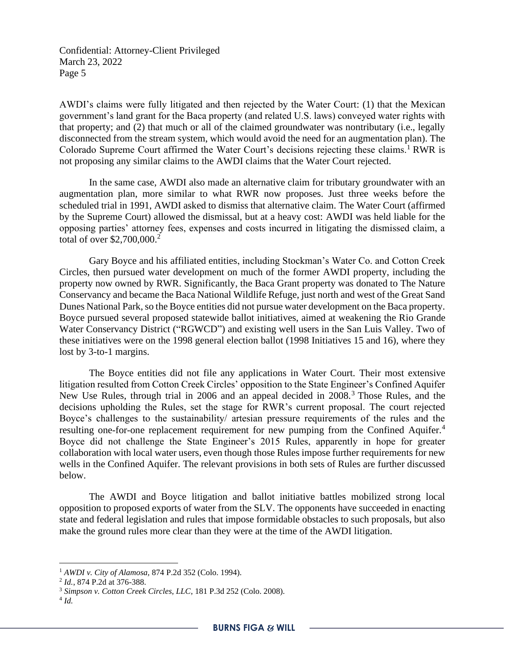AWDI's claims were fully litigated and then rejected by the Water Court: (1) that the Mexican government's land grant for the Baca property (and related U.S. laws) conveyed water rights with that property; and (2) that much or all of the claimed groundwater was nontributary (i.e., legally disconnected from the stream system, which would avoid the need for an augmentation plan). The Colorado Supreme Court affirmed the Water Court's decisions rejecting these claims.<sup>1</sup> RWR is not proposing any similar claims to the AWDI claims that the Water Court rejected.

In the same case, AWDI also made an alternative claim for tributary groundwater with an augmentation plan, more similar to what RWR now proposes. Just three weeks before the scheduled trial in 1991, AWDI asked to dismiss that alternative claim. The Water Court (affirmed by the Supreme Court) allowed the dismissal, but at a heavy cost: AWDI was held liable for the opposing parties' attorney fees, expenses and costs incurred in litigating the dismissed claim, a total of over \$2,700,000.<sup>2</sup>

Gary Boyce and his affiliated entities, including Stockman's Water Co. and Cotton Creek Circles, then pursued water development on much of the former AWDI property, including the property now owned by RWR. Significantly, the Baca Grant property was donated to The Nature Conservancy and became the Baca National Wildlife Refuge, just north and west of the Great Sand Dunes National Park, so the Boyce entities did not pursue water development on the Baca property. Boyce pursued several proposed statewide ballot initiatives, aimed at weakening the Rio Grande Water Conservancy District ("RGWCD") and existing well users in the San Luis Valley. Two of these initiatives were on the 1998 general election ballot (1998 Initiatives 15 and 16), where they lost by 3-to-1 margins.

The Boyce entities did not file any applications in Water Court. Their most extensive litigation resulted from Cotton Creek Circles' opposition to the State Engineer's Confined Aquifer New Use Rules, through trial in 2006 and an appeal decided in 2008.<sup>3</sup> Those Rules, and the decisions upholding the Rules, set the stage for RWR's current proposal. The court rejected Boyce's challenges to the sustainability/ artesian pressure requirements of the rules and the resulting one-for-one replacement requirement for new pumping from the Confined Aquifer.<sup>4</sup> Boyce did not challenge the State Engineer's 2015 Rules, apparently in hope for greater collaboration with local water users, even though those Rules impose further requirements for new wells in the Confined Aquifer. The relevant provisions in both sets of Rules are further discussed below.

The AWDI and Boyce litigation and ballot initiative battles mobilized strong local opposition to proposed exports of water from the SLV. The opponents have succeeded in enacting state and federal legislation and rules that impose formidable obstacles to such proposals, but also make the ground rules more clear than they were at the time of the AWDI litigation.

<sup>1</sup> *AWDI v. City of Alamosa,* 874 P.2d 352 (Colo. 1994).

<sup>2</sup> *Id.*, 874 P.2d at 376-388.

<sup>3</sup> *Simpson v. Cotton Creek Circles, LLC*, 181 P.3d 252 (Colo. 2008).

<sup>4</sup> *Id.*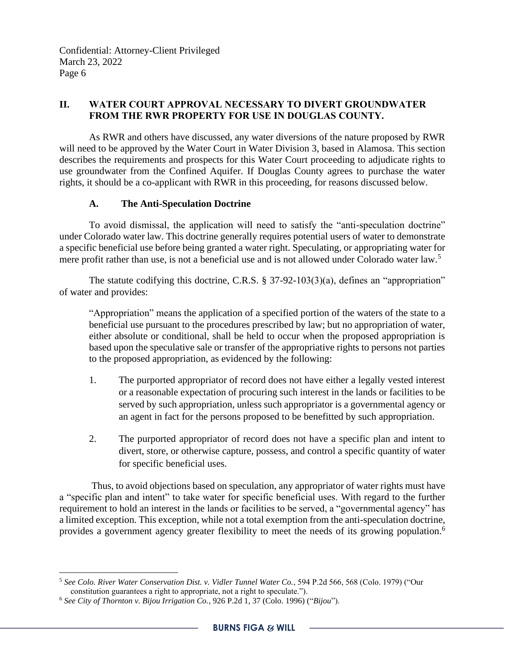## **II. WATER COURT APPROVAL NECESSARY TO DIVERT GROUNDWATER FROM THE RWR PROPERTY FOR USE IN DOUGLAS COUNTY.**

As RWR and others have discussed, any water diversions of the nature proposed by RWR will need to be approved by the Water Court in Water Division 3, based in Alamosa. This section describes the requirements and prospects for this Water Court proceeding to adjudicate rights to use groundwater from the Confined Aquifer. If Douglas County agrees to purchase the water rights, it should be a co-applicant with RWR in this proceeding, for reasons discussed below.

## **A. The Anti-Speculation Doctrine**

To avoid dismissal, the application will need to satisfy the "anti-speculation doctrine" under Colorado water law. This doctrine generally requires potential users of water to demonstrate a specific beneficial use before being granted a water right. Speculating, or appropriating water for mere profit rather than use, is not a beneficial use and is not allowed under Colorado water law.<sup>5</sup>

The statute codifying this doctrine, C.R.S. § 37-92-103(3)(a), defines an "appropriation" of water and provides:

"Appropriation" means the application of a specified portion of the waters of the state to a beneficial use pursuant to the procedures prescribed by law; but no appropriation of water, either absolute or conditional, shall be held to occur when the proposed appropriation is based upon the speculative sale or transfer of the appropriative rights to persons not parties to the proposed appropriation, as evidenced by the following:

- 1. The purported appropriator of record does not have either a legally vested interest or a reasonable expectation of procuring such interest in the lands or facilities to be served by such appropriation, unless such appropriator is a governmental agency or an agent in fact for the persons proposed to be benefitted by such appropriation.
- 2. The purported appropriator of record does not have a specific plan and intent to divert, store, or otherwise capture, possess, and control a specific quantity of water for specific beneficial uses.

Thus, to avoid objections based on speculation, any appropriator of water rights must have a "specific plan and intent" to take water for specific beneficial uses. With regard to the further requirement to hold an interest in the lands or facilities to be served, a "governmental agency" has a limited exception. This exception, while not a total exemption from the anti-speculation doctrine, provides a government agency greater flexibility to meet the needs of its growing population.<sup>6</sup>

<sup>5</sup> *See Colo. River Water Conservation Dist. v. Vidler Tunnel Water Co.*, 594 P.2d 566, 568 (Colo. 1979) ("Our constitution guarantees a right to appropriate, not a right to speculate.").

<sup>6</sup> *See City of Thornton v. Bijou Irrigation Co.*, 926 P.2d 1, 37 (Colo. 1996) ("*Bijou*").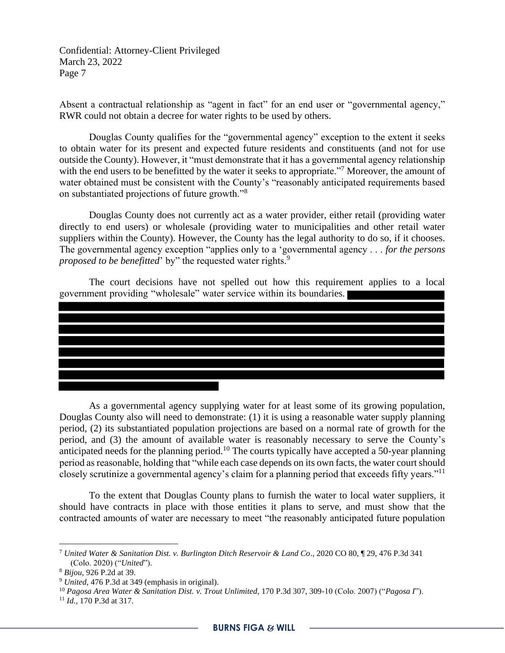Absent a contractual relationship as "agent in fact" for an end user or "governmental agency," RWR could not obtain a decree for water rights to be used by others.

Douglas County qualifies for the "governmental agency" exception to the extent it seeks to obtain water for its present and expected future residents and constituents (and not for use outside the County). However, it "must demonstrate that it has a governmental agency relationship with the end users to be benefitted by the water it seeks to appropriate."<sup>7</sup> Moreover, the amount of water obtained must be consistent with the County's "reasonably anticipated requirements based on substantiated projections of future growth."<sup>8</sup>

Douglas County does not currently act as a water provider, either retail (providing water directly to end users) or wholesale (providing water to municipalities and other retail water suppliers within the County). However, the County has the legal authority to do so, if it chooses. The governmental agency exception "applies only to a 'governmental agency . . . *for the persons proposed to be benefitted*' by" the requested water rights.<sup>9</sup>

The court decisions have not spelled out how this requirement applies to a local government providing "wholesale" water service within its boundaries.



As a governmental agency supplying water for at least some of its growing population, Douglas County also will need to demonstrate: (1) it is using a reasonable water supply planning period, (2) its substantiated population projections are based on a normal rate of growth for the period, and (3) the amount of available water is reasonably necessary to serve the County's anticipated needs for the planning period.<sup>10</sup> The courts typically have accepted a 50-year planning period as reasonable, holding that "while each case depends on its own facts, the water court should closely scrutinize a governmental agency's claim for a planning period that exceeds fifty years."<sup>11</sup>

To the extent that Douglas County plans to furnish the water to local water suppliers, it should have contracts in place with those entities it plans to serve, and must show that the contracted amounts of water are necessary to meet "the reasonably anticipated future population

<sup>7</sup> *United Water & Sanitation Dist. v. Burlington Ditch Reservoir & Land Co*., 2020 CO 80, ¶ 29, 476 P.3d 341 (Colo. 2020) ("*United*").

<sup>8</sup> *Bijou*, 926 P.2d at 39.

<sup>9</sup> *United*, 476 P.3d at 349 (emphasis in original).

<sup>10</sup> *Pagosa Area Water & Sanitation Dist. v. Trout Unlimited,* 170 P.3d 307, 309-10 (Colo. 2007) ("*Pagosa I*").

<sup>11</sup> *Id.,* 170 P.3d at 317.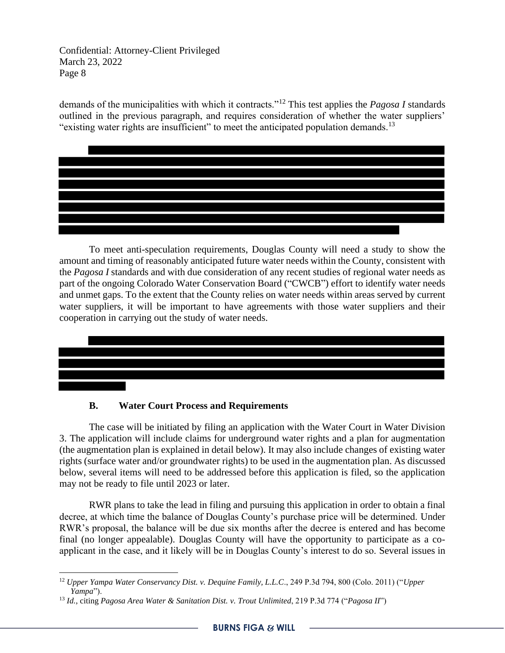demands of the municipalities with which it contracts."<sup>12</sup> This test applies the *Pagosa I* standards outlined in the previous paragraph, and requires consideration of whether the water suppliers' "existing water rights are insufficient" to meet the anticipated population demands.<sup>13</sup>

To meet anti-speculation requirements, Douglas County will need a study to show the amount and timing of reasonably anticipated future water needs within the County, consistent with the *Pagosa I* standards and with due consideration of any recent studies of regional water needs as part of the ongoing Colorado Water Conservation Board ("CWCB") effort to identify water needs and unmet gaps. To the extent that the County relies on water needs within areas served by current water suppliers, it will be important to have agreements with those water suppliers and their cooperation in carrying out the study of water needs.



## **B. Water Court Process and Requirements**

The case will be initiated by filing an application with the Water Court in Water Division 3. The application will include claims for underground water rights and a plan for augmentation (the augmentation plan is explained in detail below). It may also include changes of existing water rights (surface water and/or groundwater rights) to be used in the augmentation plan. As discussed below, several items will need to be addressed before this application is filed, so the application may not be ready to file until 2023 or later.

RWR plans to take the lead in filing and pursuing this application in order to obtain a final decree, at which time the balance of Douglas County's purchase price will be determined. Under RWR's proposal, the balance will be due six months after the decree is entered and has become final (no longer appealable). Douglas County will have the opportunity to participate as a coapplicant in the case, and it likely will be in Douglas County's interest to do so. Several issues in

<sup>12</sup> *Upper Yampa Water Conservancy Dist. v. Dequine Family, L.L.C*., 249 P.3d 794, 800 (Colo. 2011) ("*Upper Yampa*").

<sup>13</sup> *Id.*, citing *Pagosa Area Water & Sanitation Dist. v. Trout Unlimited*, 219 P.3d 774 ("*Pagosa II*")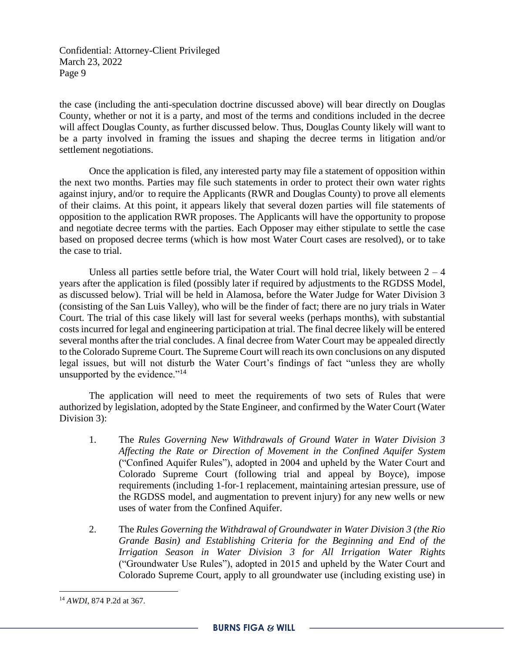the case (including the anti-speculation doctrine discussed above) will bear directly on Douglas County, whether or not it is a party, and most of the terms and conditions included in the decree will affect Douglas County, as further discussed below. Thus, Douglas County likely will want to be a party involved in framing the issues and shaping the decree terms in litigation and/or settlement negotiations.

Once the application is filed, any interested party may file a statement of opposition within the next two months. Parties may file such statements in order to protect their own water rights against injury, and/or to require the Applicants (RWR and Douglas County) to prove all elements of their claims. At this point, it appears likely that several dozen parties will file statements of opposition to the application RWR proposes. The Applicants will have the opportunity to propose and negotiate decree terms with the parties. Each Opposer may either stipulate to settle the case based on proposed decree terms (which is how most Water Court cases are resolved), or to take the case to trial.

Unless all parties settle before trial, the Water Court will hold trial, likely between  $2 - 4$ years after the application is filed (possibly later if required by adjustments to the RGDSS Model, as discussed below). Trial will be held in Alamosa, before the Water Judge for Water Division 3 (consisting of the San Luis Valley), who will be the finder of fact; there are no jury trials in Water Court. The trial of this case likely will last for several weeks (perhaps months), with substantial costs incurred for legal and engineering participation at trial. The final decree likely will be entered several months after the trial concludes. A final decree from Water Court may be appealed directly to the Colorado Supreme Court. The Supreme Court will reach its own conclusions on any disputed legal issues, but will not disturb the Water Court's findings of fact "unless they are wholly unsupported by the evidence."<sup>14</sup>

The application will need to meet the requirements of two sets of Rules that were authorized by legislation, adopted by the State Engineer, and confirmed by the Water Court (Water Division 3):

- 1. The *Rules Governing New Withdrawals of Ground Water in Water Division 3 Affecting the Rate or Direction of Movement in the Confined Aquifer System* ("Confined Aquifer Rules"), adopted in 2004 and upheld by the Water Court and Colorado Supreme Court (following trial and appeal by Boyce), impose requirements (including 1-for-1 replacement, maintaining artesian pressure, use of the RGDSS model, and augmentation to prevent injury) for any new wells or new uses of water from the Confined Aquifer.
- 2. The *Rules Governing the Withdrawal of Groundwater in Water Division 3 (the Rio Grande Basin) and Establishing Criteria for the Beginning and End of the Irrigation Season in Water Division 3 for All Irrigation Water Rights* ("Groundwater Use Rules"), adopted in 2015 and upheld by the Water Court and Colorado Supreme Court, apply to all groundwater use (including existing use) in

<sup>14</sup> *AWDI*, 874 P.2d at 367.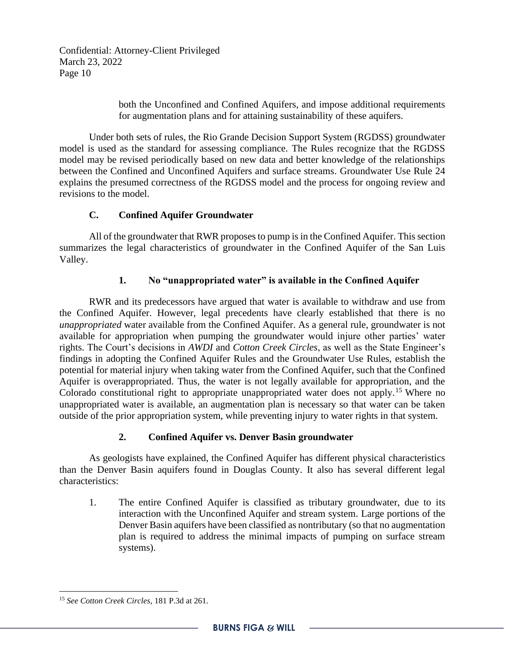> both the Unconfined and Confined Aquifers, and impose additional requirements for augmentation plans and for attaining sustainability of these aquifers.

Under both sets of rules, the Rio Grande Decision Support System (RGDSS) groundwater model is used as the standard for assessing compliance. The Rules recognize that the RGDSS model may be revised periodically based on new data and better knowledge of the relationships between the Confined and Unconfined Aquifers and surface streams. Groundwater Use Rule 24 explains the presumed correctness of the RGDSS model and the process for ongoing review and revisions to the model.

## **C. Confined Aquifer Groundwater**

All of the groundwater that RWR proposes to pump is in the Confined Aquifer. This section summarizes the legal characteristics of groundwater in the Confined Aquifer of the San Luis Valley.

## **1. No "unappropriated water" is available in the Confined Aquifer**

RWR and its predecessors have argued that water is available to withdraw and use from the Confined Aquifer. However, legal precedents have clearly established that there is no *unappropriated* water available from the Confined Aquifer. As a general rule, groundwater is not available for appropriation when pumping the groundwater would injure other parties' water rights. The Court's decisions in *AWDI* and *Cotton Creek Circles*, as well as the State Engineer's findings in adopting the Confined Aquifer Rules and the Groundwater Use Rules, establish the potential for material injury when taking water from the Confined Aquifer, such that the Confined Aquifer is overappropriated. Thus, the water is not legally available for appropriation, and the Colorado constitutional right to appropriate unappropriated water does not apply.<sup>15</sup> Where no unappropriated water is available, an augmentation plan is necessary so that water can be taken outside of the prior appropriation system, while preventing injury to water rights in that system.

## **2. Confined Aquifer vs. Denver Basin groundwater**

As geologists have explained, the Confined Aquifer has different physical characteristics than the Denver Basin aquifers found in Douglas County. It also has several different legal characteristics:

1. The entire Confined Aquifer is classified as tributary groundwater, due to its interaction with the Unconfined Aquifer and stream system. Large portions of the Denver Basin aquifers have been classified as nontributary (so that no augmentation plan is required to address the minimal impacts of pumping on surface stream systems).

<sup>15</sup> *See Cotton Creek Circles*, 181 P.3d at 261.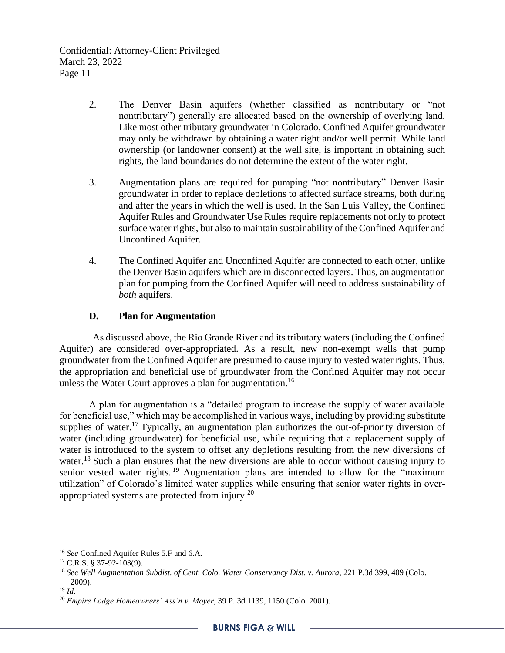- 2. The Denver Basin aquifers (whether classified as nontributary or "not nontributary") generally are allocated based on the ownership of overlying land. Like most other tributary groundwater in Colorado, Confined Aquifer groundwater may only be withdrawn by obtaining a water right and/or well permit. While land ownership (or landowner consent) at the well site, is important in obtaining such rights, the land boundaries do not determine the extent of the water right.
- 3. Augmentation plans are required for pumping "not nontributary" Denver Basin groundwater in order to replace depletions to affected surface streams, both during and after the years in which the well is used. In the San Luis Valley, the Confined Aquifer Rules and Groundwater Use Rules require replacements not only to protect surface water rights, but also to maintain sustainability of the Confined Aquifer and Unconfined Aquifer.
- 4. The Confined Aquifer and Unconfined Aquifer are connected to each other, unlike the Denver Basin aquifers which are in disconnected layers. Thus, an augmentation plan for pumping from the Confined Aquifer will need to address sustainability of *both* aquifers.

### **D. Plan for Augmentation**

As discussed above, the Rio Grande River and its tributary waters (including the Confined Aquifer) are considered over-appropriated. As a result, new non-exempt wells that pump groundwater from the Confined Aquifer are presumed to cause injury to vested water rights. Thus, the appropriation and beneficial use of groundwater from the Confined Aquifer may not occur unless the Water Court approves a plan for augmentation.<sup>16</sup>

A plan for augmentation is a "detailed program to increase the supply of water available for beneficial use," which may be accomplished in various ways, including by providing substitute supplies of water.<sup>17</sup> Typically, an augmentation plan authorizes the out-of-priority diversion of water (including groundwater) for beneficial use, while requiring that a replacement supply of water is introduced to the system to offset any depletions resulting from the new diversions of water.<sup>18</sup> Such a plan ensures that the new diversions are able to occur without causing injury to senior vested water rights.<sup>19</sup> Augmentation plans are intended to allow for the "maximum" utilization" of Colorado's limited water supplies while ensuring that senior water rights in overappropriated systems are protected from injury.<sup>20</sup>

<sup>16</sup> *See* Confined Aquifer Rules 5.F and 6.A.

 $17$  C.R.S. § 37-92-103(9).

<sup>18</sup> *See Well Augmentation Subdist. of Cent. Colo. Water Conservancy Dist. v. Aurora,* 221 P.3d 399, 409 (Colo. 2009).

<sup>19</sup> *Id.*

<sup>20</sup> *Empire Lodge Homeowners' Ass'n v. Moyer*, 39 P. 3d 1139, 1150 (Colo. 2001).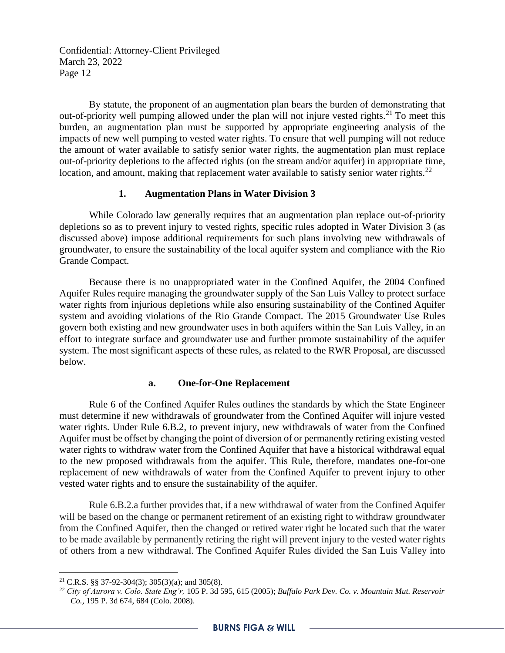By statute, the proponent of an augmentation plan bears the burden of demonstrating that out-of-priority well pumping allowed under the plan will not injure vested rights.<sup>21</sup> To meet this burden, an augmentation plan must be supported by appropriate engineering analysis of the impacts of new well pumping to vested water rights. To ensure that well pumping will not reduce the amount of water available to satisfy senior water rights, the augmentation plan must replace out-of-priority depletions to the affected rights (on the stream and/or aquifer) in appropriate time, location, and amount, making that replacement water available to satisfy senior water rights.<sup>22</sup>

#### **1. Augmentation Plans in Water Division 3**

While Colorado law generally requires that an augmentation plan replace out-of-priority depletions so as to prevent injury to vested rights, specific rules adopted in Water Division 3 (as discussed above) impose additional requirements for such plans involving new withdrawals of groundwater, to ensure the sustainability of the local aquifer system and compliance with the Rio Grande Compact.

Because there is no unappropriated water in the Confined Aquifer, the 2004 Confined Aquifer Rules require managing the groundwater supply of the San Luis Valley to protect surface water rights from injurious depletions while also ensuring sustainability of the Confined Aquifer system and avoiding violations of the Rio Grande Compact. The 2015 Groundwater Use Rules govern both existing and new groundwater uses in both aquifers within the San Luis Valley, in an effort to integrate surface and groundwater use and further promote sustainability of the aquifer system. The most significant aspects of these rules, as related to the RWR Proposal, are discussed below.

#### **a. One-for-One Replacement**

Rule 6 of the Confined Aquifer Rules outlines the standards by which the State Engineer must determine if new withdrawals of groundwater from the Confined Aquifer will injure vested water rights. Under Rule 6.B.2, to prevent injury, new withdrawals of water from the Confined Aquifer must be offset by changing the point of diversion of or permanently retiring existing vested water rights to withdraw water from the Confined Aquifer that have a historical withdrawal equal to the new proposed withdrawals from the aquifer. This Rule, therefore, mandates one-for-one replacement of new withdrawals of water from the Confined Aquifer to prevent injury to other vested water rights and to ensure the sustainability of the aquifer.

Rule 6.B.2.a further provides that, if a new withdrawal of water from the Confined Aquifer will be based on the change or permanent retirement of an existing right to withdraw groundwater from the Confined Aquifer, then the changed or retired water right be located such that the water to be made available by permanently retiring the right will prevent injury to the vested water rights of others from a new withdrawal. The Confined Aquifer Rules divided the San Luis Valley into

<sup>&</sup>lt;sup>21</sup> C.R.S. §§ 37-92-304(3); 305(3)(a); and 305(8).

<sup>22</sup> *City of Aurora v. Colo. State Eng'r,* 105 P. 3d 595, 615 (2005); *Buffalo Park Dev. Co. v. Mountain Mut. Reservoir Co.,* 195 P. 3d 674, 684 (Colo. 2008).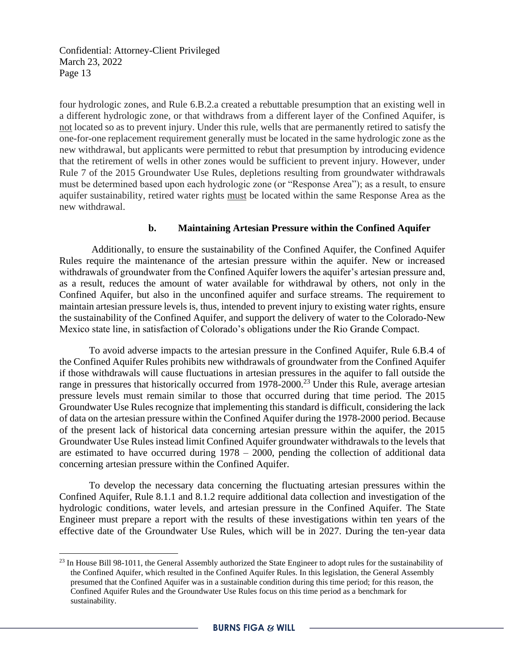four hydrologic zones, and Rule 6.B.2.a created a rebuttable presumption that an existing well in a different hydrologic zone, or that withdraws from a different layer of the Confined Aquifer, is not located so as to prevent injury. Under this rule, wells that are permanently retired to satisfy the one-for-one replacement requirement generally must be located in the same hydrologic zone as the new withdrawal, but applicants were permitted to rebut that presumption by introducing evidence that the retirement of wells in other zones would be sufficient to prevent injury. However, under Rule 7 of the 2015 Groundwater Use Rules, depletions resulting from groundwater withdrawals must be determined based upon each hydrologic zone (or "Response Area"); as a result, to ensure aquifer sustainability, retired water rights must be located within the same Response Area as the new withdrawal.

#### **b. Maintaining Artesian Pressure within the Confined Aquifer**

Additionally, to ensure the sustainability of the Confined Aquifer, the Confined Aquifer Rules require the maintenance of the artesian pressure within the aquifer. New or increased withdrawals of groundwater from the Confined Aquifer lowers the aquifer's artesian pressure and, as a result, reduces the amount of water available for withdrawal by others, not only in the Confined Aquifer, but also in the unconfined aquifer and surface streams. The requirement to maintain artesian pressure levels is, thus, intended to prevent injury to existing water rights, ensure the sustainability of the Confined Aquifer, and support the delivery of water to the Colorado-New Mexico state line, in satisfaction of Colorado's obligations under the Rio Grande Compact.

To avoid adverse impacts to the artesian pressure in the Confined Aquifer, Rule 6.B.4 of the Confined Aquifer Rules prohibits new withdrawals of groundwater from the Confined Aquifer if those withdrawals will cause fluctuations in artesian pressures in the aquifer to fall outside the range in pressures that historically occurred from 1978-2000.<sup>23</sup> Under this Rule, average artesian pressure levels must remain similar to those that occurred during that time period. The 2015 Groundwater Use Rules recognize that implementing this standard is difficult, considering the lack of data on the artesian pressure within the Confined Aquifer during the 1978-2000 period. Because of the present lack of historical data concerning artesian pressure within the aquifer, the 2015 Groundwater Use Rules instead limit Confined Aquifer groundwater withdrawals to the levels that are estimated to have occurred during 1978 – 2000, pending the collection of additional data concerning artesian pressure within the Confined Aquifer.

To develop the necessary data concerning the fluctuating artesian pressures within the Confined Aquifer, Rule 8.1.1 and 8.1.2 require additional data collection and investigation of the hydrologic conditions, water levels, and artesian pressure in the Confined Aquifer. The State Engineer must prepare a report with the results of these investigations within ten years of the effective date of the Groundwater Use Rules, which will be in 2027. During the ten-year data

<sup>&</sup>lt;sup>23</sup> In House Bill 98-1011, the General Assembly authorized the State Engineer to adopt rules for the sustainability of the Confined Aquifer, which resulted in the Confined Aquifer Rules. In this legislation, the General Assembly presumed that the Confined Aquifer was in a sustainable condition during this time period; for this reason, the Confined Aquifer Rules and the Groundwater Use Rules focus on this time period as a benchmark for sustainability.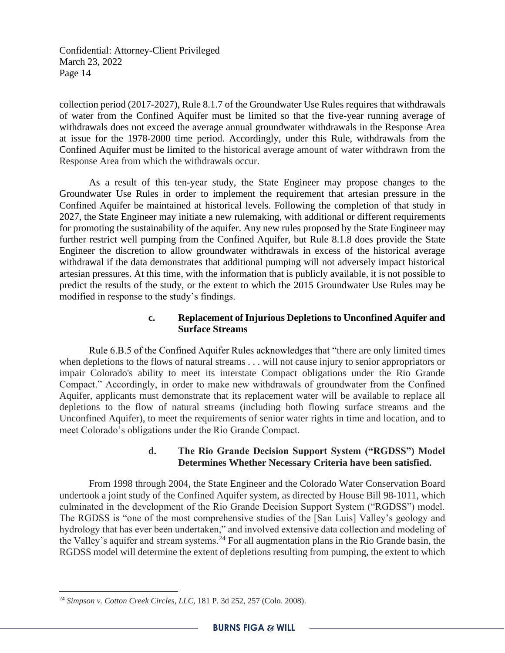collection period (2017-2027), Rule 8.1.7 of the Groundwater Use Rules requires that withdrawals of water from the Confined Aquifer must be limited so that the five-year running average of withdrawals does not exceed the average annual groundwater withdrawals in the Response Area at issue for the 1978-2000 time period. Accordingly, under this Rule, withdrawals from the Confined Aquifer must be limited to the historical average amount of water withdrawn from the Response Area from which the withdrawals occur.

As a result of this ten-year study, the State Engineer may propose changes to the Groundwater Use Rules in order to implement the requirement that artesian pressure in the Confined Aquifer be maintained at historical levels. Following the completion of that study in 2027, the State Engineer may initiate a new rulemaking, with additional or different requirements for promoting the sustainability of the aquifer. Any new rules proposed by the State Engineer may further restrict well pumping from the Confined Aquifer, but Rule 8.1.8 does provide the State Engineer the discretion to allow groundwater withdrawals in excess of the historical average withdrawal if the data demonstrates that additional pumping will not adversely impact historical artesian pressures. At this time, with the information that is publicly available, it is not possible to predict the results of the study, or the extent to which the 2015 Groundwater Use Rules may be modified in response to the study's findings.

### **c. Replacement of Injurious Depletions to Unconfined Aquifer and Surface Streams**

Rule 6.B.5 of the Confined Aquifer Rules acknowledges that "there are only limited times when depletions to the flows of natural streams . . . will not cause injury to senior appropriators or impair Colorado's ability to meet its interstate Compact obligations under the Rio Grande Compact." Accordingly, in order to make new withdrawals of groundwater from the Confined Aquifer, applicants must demonstrate that its replacement water will be available to replace all depletions to the flow of natural streams (including both flowing surface streams and the Unconfined Aquifer), to meet the requirements of senior water rights in time and location, and to meet Colorado's obligations under the Rio Grande Compact.

### **d. The Rio Grande Decision Support System ("RGDSS") Model Determines Whether Necessary Criteria have been satisfied.**

From 1998 through 2004, the State Engineer and the Colorado Water Conservation Board undertook a joint study of the Confined Aquifer system, as directed by House Bill 98-1011, which culminated in the development of the Rio Grande Decision Support System ("RGDSS") model. The RGDSS is "one of the most comprehensive studies of the [San Luis] Valley's geology and hydrology that has ever been undertaken," and involved extensive data collection and modeling of the Valley's aquifer and stream systems.<sup>24</sup> For all augmentation plans in the Rio Grande basin, the RGDSS model will determine the extent of depletions resulting from pumping, the extent to which

<sup>24</sup> *Simpson v. Cotton Creek Circles, LLC,* 181 P. 3d 252, 257 (Colo. 2008).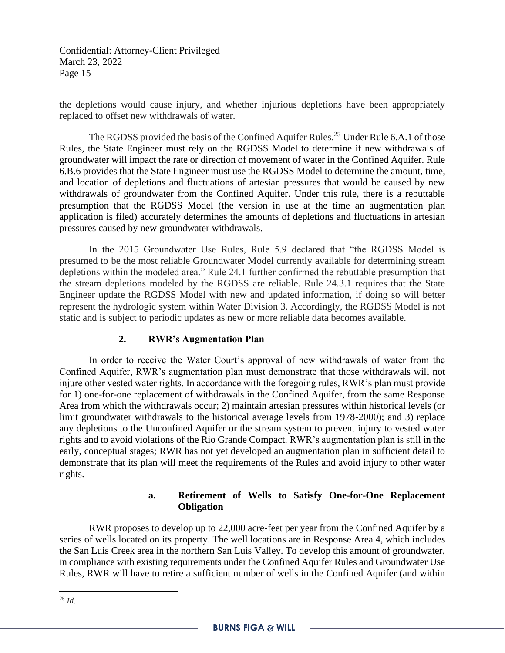the depletions would cause injury, and whether injurious depletions have been appropriately replaced to offset new withdrawals of water.

The RGDSS provided the basis of the Confined Aquifer Rules.<sup>25</sup> Under Rule 6.A.1 of those Rules, the State Engineer must rely on the RGDSS Model to determine if new withdrawals of groundwater will impact the rate or direction of movement of water in the Confined Aquifer. Rule 6.B.6 provides that the State Engineer must use the RGDSS Model to determine the amount, time, and location of depletions and fluctuations of artesian pressures that would be caused by new withdrawals of groundwater from the Confined Aquifer. Under this rule, there is a rebuttable presumption that the RGDSS Model (the version in use at the time an augmentation plan application is filed) accurately determines the amounts of depletions and fluctuations in artesian pressures caused by new groundwater withdrawals.

In the 2015 Groundwater Use Rules, Rule 5.9 declared that "the RGDSS Model is presumed to be the most reliable Groundwater Model currently available for determining stream depletions within the modeled area." Rule 24.1 further confirmed the rebuttable presumption that the stream depletions modeled by the RGDSS are reliable. Rule 24.3.1 requires that the State Engineer update the RGDSS Model with new and updated information, if doing so will better represent the hydrologic system within Water Division 3. Accordingly, the RGDSS Model is not static and is subject to periodic updates as new or more reliable data becomes available.

## **2. RWR's Augmentation Plan**

In order to receive the Water Court's approval of new withdrawals of water from the Confined Aquifer, RWR's augmentation plan must demonstrate that those withdrawals will not injure other vested water rights. In accordance with the foregoing rules, RWR's plan must provide for 1) one-for-one replacement of withdrawals in the Confined Aquifer, from the same Response Area from which the withdrawals occur; 2) maintain artesian pressures within historical levels (or limit groundwater withdrawals to the historical average levels from 1978-2000); and 3) replace any depletions to the Unconfined Aquifer or the stream system to prevent injury to vested water rights and to avoid violations of the Rio Grande Compact. RWR's augmentation plan is still in the early, conceptual stages; RWR has not yet developed an augmentation plan in sufficient detail to demonstrate that its plan will meet the requirements of the Rules and avoid injury to other water rights.

## **a. Retirement of Wells to Satisfy One-for-One Replacement Obligation**

RWR proposes to develop up to 22,000 acre-feet per year from the Confined Aquifer by a series of wells located on its property. The well locations are in Response Area 4, which includes the San Luis Creek area in the northern San Luis Valley. To develop this amount of groundwater, in compliance with existing requirements under the Confined Aquifer Rules and Groundwater Use Rules, RWR will have to retire a sufficient number of wells in the Confined Aquifer (and within

<sup>25</sup> *Id.*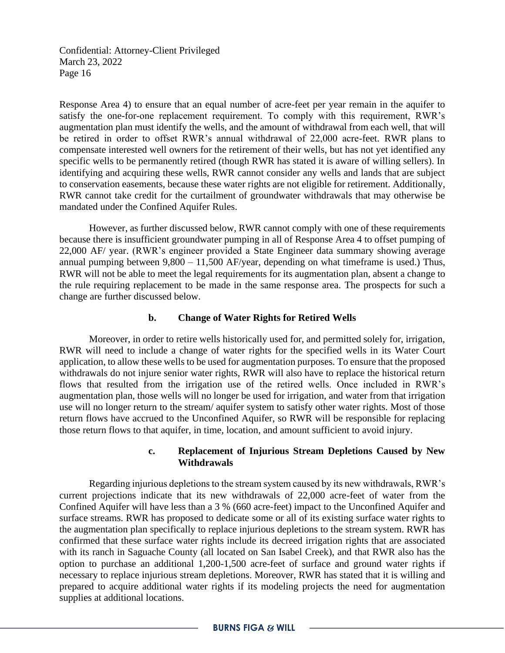Response Area 4) to ensure that an equal number of acre-feet per year remain in the aquifer to satisfy the one-for-one replacement requirement. To comply with this requirement, RWR's augmentation plan must identify the wells, and the amount of withdrawal from each well, that will be retired in order to offset RWR's annual withdrawal of 22,000 acre-feet. RWR plans to compensate interested well owners for the retirement of their wells, but has not yet identified any specific wells to be permanently retired (though RWR has stated it is aware of willing sellers). In identifying and acquiring these wells, RWR cannot consider any wells and lands that are subject to conservation easements, because these water rights are not eligible for retirement. Additionally, RWR cannot take credit for the curtailment of groundwater withdrawals that may otherwise be mandated under the Confined Aquifer Rules.

However, as further discussed below, RWR cannot comply with one of these requirements because there is insufficient groundwater pumping in all of Response Area 4 to offset pumping of 22,000 AF/ year. (RWR's engineer provided a State Engineer data summary showing average annual pumping between  $9,800 - 11,500$  AF/year, depending on what timeframe is used.) Thus, RWR will not be able to meet the legal requirements for its augmentation plan, absent a change to the rule requiring replacement to be made in the same response area. The prospects for such a change are further discussed below.

### **b. Change of Water Rights for Retired Wells**

Moreover, in order to retire wells historically used for, and permitted solely for, irrigation, RWR will need to include a change of water rights for the specified wells in its Water Court application, to allow these wells to be used for augmentation purposes. To ensure that the proposed withdrawals do not injure senior water rights, RWR will also have to replace the historical return flows that resulted from the irrigation use of the retired wells. Once included in RWR's augmentation plan, those wells will no longer be used for irrigation, and water from that irrigation use will no longer return to the stream/ aquifer system to satisfy other water rights. Most of those return flows have accrued to the Unconfined Aquifer, so RWR will be responsible for replacing those return flows to that aquifer, in time, location, and amount sufficient to avoid injury.

### **c. Replacement of Injurious Stream Depletions Caused by New Withdrawals**

Regarding injurious depletions to the stream system caused by its new withdrawals, RWR's current projections indicate that its new withdrawals of 22,000 acre-feet of water from the Confined Aquifer will have less than a 3 % (660 acre-feet) impact to the Unconfined Aquifer and surface streams. RWR has proposed to dedicate some or all of its existing surface water rights to the augmentation plan specifically to replace injurious depletions to the stream system. RWR has confirmed that these surface water rights include its decreed irrigation rights that are associated with its ranch in Saguache County (all located on San Isabel Creek), and that RWR also has the option to purchase an additional 1,200-1,500 acre-feet of surface and ground water rights if necessary to replace injurious stream depletions. Moreover, RWR has stated that it is willing and prepared to acquire additional water rights if its modeling projects the need for augmentation supplies at additional locations.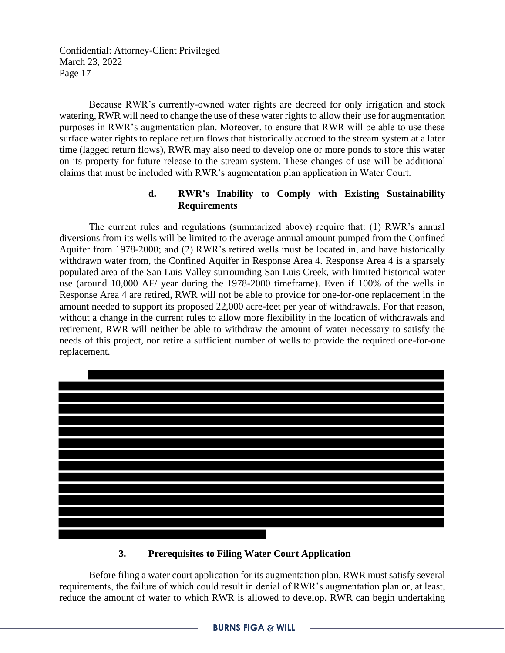Because RWR's currently-owned water rights are decreed for only irrigation and stock watering, RWR will need to change the use of these water rights to allow their use for augmentation purposes in RWR's augmentation plan. Moreover, to ensure that RWR will be able to use these surface water rights to replace return flows that historically accrued to the stream system at a later time (lagged return flows), RWR may also need to develop one or more ponds to store this water on its property for future release to the stream system. These changes of use will be additional claims that must be included with RWR's augmentation plan application in Water Court.

### **d. RWR's Inability to Comply with Existing Sustainability Requirements**

The current rules and regulations (summarized above) require that: (1) RWR's annual diversions from its wells will be limited to the average annual amount pumped from the Confined Aquifer from 1978-2000; and (2) RWR's retired wells must be located in, and have historically withdrawn water from, the Confined Aquifer in Response Area 4. Response Area 4 is a sparsely populated area of the San Luis Valley surrounding San Luis Creek, with limited historical water use (around 10,000 AF/ year during the 1978-2000 timeframe). Even if 100% of the wells in Response Area 4 are retired, RWR will not be able to provide for one-for-one replacement in the amount needed to support its proposed 22,000 acre-feet per year of withdrawals. For that reason, without a change in the current rules to allow more flexibility in the location of withdrawals and retirement, RWR will neither be able to withdraw the amount of water necessary to satisfy the needs of this project, nor retire a sufficient number of wells to provide the required one-for-one replacement.



## **3. Prerequisites to Filing Water Court Application**

Before filing a water court application for its augmentation plan, RWR must satisfy several requirements, the failure of which could result in denial of RWR's augmentation plan or, at least, reduce the amount of water to which RWR is allowed to develop. RWR can begin undertaking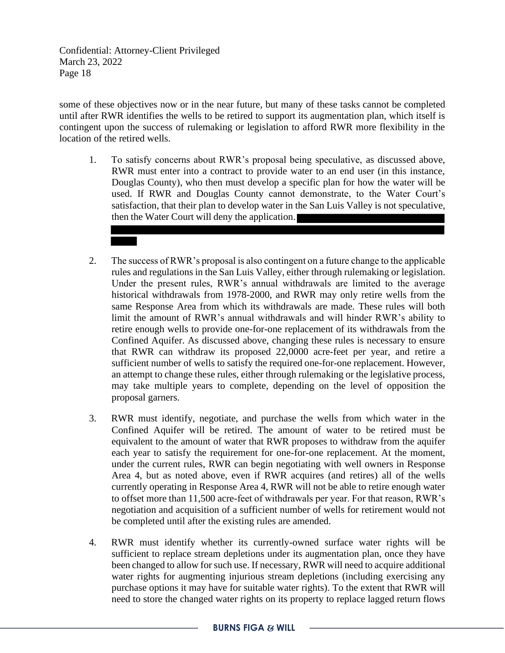some of these objectives now or in the near future, but many of these tasks cannot be completed until after RWR identifies the wells to be retired to support its augmentation plan, which itself is contingent upon the success of rulemaking or legislation to afford RWR more flexibility in the location of the retired wells.

- 1. To satisfy concerns about RWR's proposal being speculative, as discussed above, RWR must enter into a contract to provide water to an end user (in this instance, Douglas County), who then must develop a specific plan for how the water will be used. If RWR and Douglas County cannot demonstrate, to the Water Court's satisfaction, that their plan to develop water in the San Luis Valley is not speculative, then the Water Court will deny the application.
- 2. The success of RWR's proposal is also contingent on a future change to the applicable rules and regulations in the San Luis Valley, either through rulemaking or legislation. Under the present rules, RWR's annual withdrawals are limited to the average historical withdrawals from 1978-2000, and RWR may only retire wells from the same Response Area from which its withdrawals are made. These rules will both limit the amount of RWR's annual withdrawals and will hinder RWR's ability to retire enough wells to provide one-for-one replacement of its withdrawals from the Confined Aquifer. As discussed above, changing these rules is necessary to ensure that RWR can withdraw its proposed 22,0000 acre-feet per year, and retire a sufficient number of wells to satisfy the required one-for-one replacement. However, an attempt to change these rules, either through rulemaking or the legislative process, may take multiple years to complete, depending on the level of opposition the proposal garners.
- 3. RWR must identify, negotiate, and purchase the wells from which water in the Confined Aquifer will be retired. The amount of water to be retired must be equivalent to the amount of water that RWR proposes to withdraw from the aquifer each year to satisfy the requirement for one-for-one replacement. At the moment, under the current rules, RWR can begin negotiating with well owners in Response Area 4, but as noted above, even if RWR acquires (and retires) all of the wells currently operating in Response Area 4, RWR will not be able to retire enough water to offset more than 11,500 acre-feet of withdrawals per year. For that reason, RWR's negotiation and acquisition of a sufficient number of wells for retirement would not be completed until after the existing rules are amended.
- 4. RWR must identify whether its currently-owned surface water rights will be sufficient to replace stream depletions under its augmentation plan, once they have been changed to allow for such use. If necessary, RWR will need to acquire additional water rights for augmenting injurious stream depletions (including exercising any purchase options it may have for suitable water rights). To the extent that RWR will need to store the changed water rights on its property to replace lagged return flows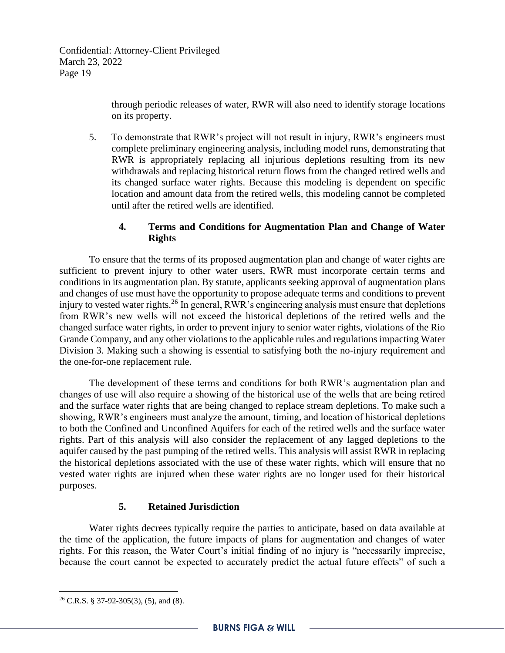through periodic releases of water, RWR will also need to identify storage locations on its property.

5. To demonstrate that RWR's project will not result in injury, RWR's engineers must complete preliminary engineering analysis, including model runs, demonstrating that RWR is appropriately replacing all injurious depletions resulting from its new withdrawals and replacing historical return flows from the changed retired wells and its changed surface water rights. Because this modeling is dependent on specific location and amount data from the retired wells, this modeling cannot be completed until after the retired wells are identified.

### **4. Terms and Conditions for Augmentation Plan and Change of Water Rights**

To ensure that the terms of its proposed augmentation plan and change of water rights are sufficient to prevent injury to other water users, RWR must incorporate certain terms and conditions in its augmentation plan. By statute, applicants seeking approval of augmentation plans and changes of use must have the opportunity to propose adequate terms and conditions to prevent injury to vested water rights.<sup>26</sup> In general, RWR's engineering analysis must ensure that depletions from RWR's new wells will not exceed the historical depletions of the retired wells and the changed surface water rights, in order to prevent injury to senior water rights, violations of the Rio Grande Company, and any other violations to the applicable rules and regulations impacting Water Division 3. Making such a showing is essential to satisfying both the no-injury requirement and the one-for-one replacement rule.

The development of these terms and conditions for both RWR's augmentation plan and changes of use will also require a showing of the historical use of the wells that are being retired and the surface water rights that are being changed to replace stream depletions. To make such a showing, RWR's engineers must analyze the amount, timing, and location of historical depletions to both the Confined and Unconfined Aquifers for each of the retired wells and the surface water rights. Part of this analysis will also consider the replacement of any lagged depletions to the aquifer caused by the past pumping of the retired wells. This analysis will assist RWR in replacing the historical depletions associated with the use of these water rights, which will ensure that no vested water rights are injured when these water rights are no longer used for their historical purposes.

## **5. Retained Jurisdiction**

Water rights decrees typically require the parties to anticipate, based on data available at the time of the application, the future impacts of plans for augmentation and changes of water rights. For this reason, the Water Court's initial finding of no injury is "necessarily imprecise, because the court cannot be expected to accurately predict the actual future effects" of such a

 $26$  C.R.S. § 37-92-305(3), (5), and (8).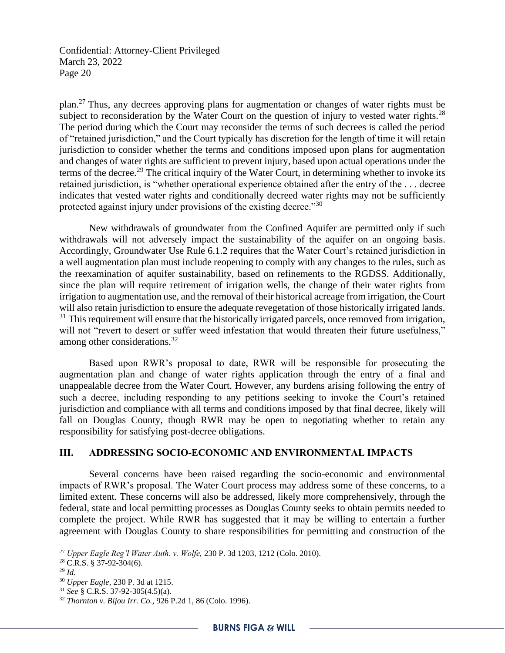plan.<sup>27</sup> Thus, any decrees approving plans for augmentation or changes of water rights must be subject to reconsideration by the Water Court on the question of injury to vested water rights.<sup>28</sup> The period during which the Court may reconsider the terms of such decrees is called the period of "retained jurisdiction," and the Court typically has discretion for the length of time it will retain jurisdiction to consider whether the terms and conditions imposed upon plans for augmentation and changes of water rights are sufficient to prevent injury, based upon actual operations under the terms of the decree.<sup>29</sup> The critical inquiry of the Water Court, in determining whether to invoke its retained jurisdiction, is "whether operational experience obtained after the entry of the . . . decree indicates that vested water rights and conditionally decreed water rights may not be sufficiently protected against injury under provisions of the existing decree."<sup>30</sup>

New withdrawals of groundwater from the Confined Aquifer are permitted only if such withdrawals will not adversely impact the sustainability of the aquifer on an ongoing basis. Accordingly, Groundwater Use Rule 6.1.2 requires that the Water Court's retained jurisdiction in a well augmentation plan must include reopening to comply with any changes to the rules, such as the reexamination of aquifer sustainability, based on refinements to the RGDSS. Additionally, since the plan will require retirement of irrigation wells, the change of their water rights from irrigation to augmentation use, and the removal of their historical acreage from irrigation, the Court will also retain jurisdiction to ensure the adequate revegetation of those historically irrigated lands. <sup>31</sup> This requirement will ensure that the historically irrigated parcels, once removed from irrigation, will not "revert to desert or suffer weed infestation that would threaten their future usefulness," among other considerations.<sup>32</sup>

Based upon RWR's proposal to date, RWR will be responsible for prosecuting the augmentation plan and change of water rights application through the entry of a final and unappealable decree from the Water Court. However, any burdens arising following the entry of such a decree, including responding to any petitions seeking to invoke the Court's retained jurisdiction and compliance with all terms and conditions imposed by that final decree, likely will fall on Douglas County, though RWR may be open to negotiating whether to retain any responsibility for satisfying post-decree obligations.

#### **III. ADDRESSING SOCIO-ECONOMIC AND ENVIRONMENTAL IMPACTS**

Several concerns have been raised regarding the socio-economic and environmental impacts of RWR's proposal. The Water Court process may address some of these concerns, to a limited extent. These concerns will also be addressed, likely more comprehensively, through the federal, state and local permitting processes as Douglas County seeks to obtain permits needed to complete the project. While RWR has suggested that it may be willing to entertain a further agreement with Douglas County to share responsibilities for permitting and construction of the

<sup>27</sup> *Upper Eagle Reg'l Water Auth. v. Wolfe,* 230 P. 3d 1203, 1212 (Colo. 2010).

<sup>28</sup> C.R.S. § 37-92-304(6).

<sup>29</sup> *Id.*

<sup>30</sup> *Upper Eagle,* 230 P. 3d at 1215.

<sup>31</sup> *See* § C.R.S. 37-92-305(4.5)(a).

<sup>32</sup> *Thornton v. Bijou Irr. Co.*, 926 P.2d 1, 86 (Colo. 1996).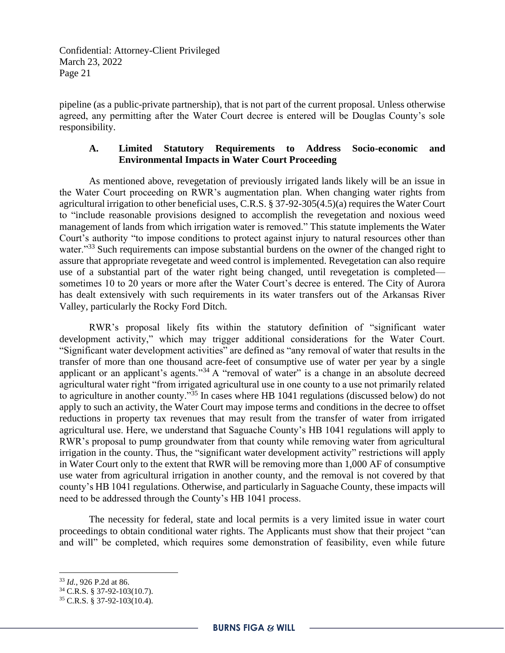pipeline (as a public-private partnership), that is not part of the current proposal. Unless otherwise agreed, any permitting after the Water Court decree is entered will be Douglas County's sole responsibility.

### **A. Limited Statutory Requirements to Address Socio-economic and Environmental Impacts in Water Court Proceeding**

As mentioned above, revegetation of previously irrigated lands likely will be an issue in the Water Court proceeding on RWR's augmentation plan. When changing water rights from agricultural irrigation to other beneficial uses, C.R.S. § 37-92-305(4.5)(a) requires the Water Court to "include reasonable provisions designed to accomplish the revegetation and noxious weed management of lands from which irrigation water is removed." This statute implements the Water Court's authority "to impose conditions to protect against injury to natural resources other than water."<sup>33</sup> Such requirements can impose substantial burdens on the owner of the changed right to assure that appropriate revegetate and weed control is implemented. Revegetation can also require use of a substantial part of the water right being changed, until revegetation is completed sometimes 10 to 20 years or more after the Water Court's decree is entered. The City of Aurora has dealt extensively with such requirements in its water transfers out of the Arkansas River Valley, particularly the Rocky Ford Ditch.

RWR's proposal likely fits within the statutory definition of "significant water development activity," which may trigger additional considerations for the Water Court. "Significant water development activities" are defined as "any removal of water that results in the transfer of more than one thousand acre-feet of consumptive use of water per year by a single applicant or an applicant's agents."<sup>34</sup> A "removal of water" is a change in an absolute decreed agricultural water right "from irrigated agricultural use in one county to a use not primarily related to agriculture in another county."<sup>35</sup> In cases where HB 1041 regulations (discussed below) do not apply to such an activity, the Water Court may impose terms and conditions in the decree to offset reductions in property tax revenues that may result from the transfer of water from irrigated agricultural use. Here, we understand that Saguache County's HB 1041 regulations will apply to RWR's proposal to pump groundwater from that county while removing water from agricultural irrigation in the county. Thus, the "significant water development activity" restrictions will apply in Water Court only to the extent that RWR will be removing more than 1,000 AF of consumptive use water from agricultural irrigation in another county, and the removal is not covered by that county's HB 1041 regulations. Otherwise, and particularly in Saguache County, these impacts will need to be addressed through the County's HB 1041 process.

The necessity for federal, state and local permits is a very limited issue in water court proceedings to obtain conditional water rights. The Applicants must show that their project "can and will" be completed, which requires some demonstration of feasibility, even while future

<sup>33</sup> *Id.*, 926 P.2d at 86.

<sup>34</sup> C.R.S. § 37-92-103(10.7).

<sup>35</sup> C.R.S. § 37-92-103(10.4).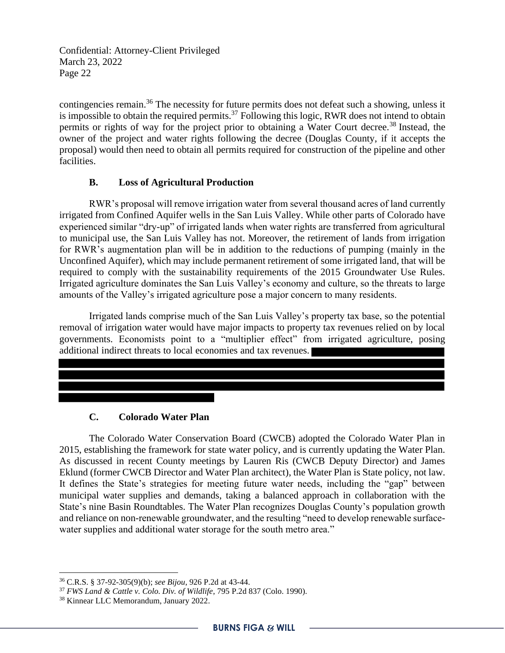contingencies remain.<sup>36</sup> The necessity for future permits does not defeat such a showing, unless it is impossible to obtain the required permits.<sup>37</sup> Following this logic, RWR does not intend to obtain permits or rights of way for the project prior to obtaining a Water Court decree.<sup>38</sup> Instead, the owner of the project and water rights following the decree (Douglas County, if it accepts the proposal) would then need to obtain all permits required for construction of the pipeline and other facilities.

### **B. Loss of Agricultural Production**

RWR's proposal will remove irrigation water from several thousand acres of land currently irrigated from Confined Aquifer wells in the San Luis Valley. While other parts of Colorado have experienced similar "dry-up" of irrigated lands when water rights are transferred from agricultural to municipal use, the San Luis Valley has not. Moreover, the retirement of lands from irrigation for RWR's augmentation plan will be in addition to the reductions of pumping (mainly in the Unconfined Aquifer), which may include permanent retirement of some irrigated land, that will be required to comply with the sustainability requirements of the 2015 Groundwater Use Rules. Irrigated agriculture dominates the San Luis Valley's economy and culture, so the threats to large amounts of the Valley's irrigated agriculture pose a major concern to many residents.

Irrigated lands comprise much of the San Luis Valley's property tax base, so the potential removal of irrigation water would have major impacts to property tax revenues relied on by local governments. Economists point to a "multiplier effect" from irrigated agriculture, posing additional indirect threats to local economies and tax revenues.

## **C. Colorado Water Plan**

The Colorado Water Conservation Board (CWCB) adopted the Colorado Water Plan in 2015, establishing the framework for state water policy, and is currently updating the Water Plan. As discussed in recent County meetings by Lauren Ris (CWCB Deputy Director) and James Eklund (former CWCB Director and Water Plan architect), the Water Plan is State policy, not law. It defines the State's strategies for meeting future water needs, including the "gap" between municipal water supplies and demands, taking a balanced approach in collaboration with the State's nine Basin Roundtables. The Water Plan recognizes Douglas County's population growth and reliance on non-renewable groundwater, and the resulting "need to develop renewable surfacewater supplies and additional water storage for the south metro area."

<sup>36</sup> C.R.S. § 37-92-305(9)(b); *see Bijou*, 926 P.2d at 43-44.

<sup>37</sup> *FWS Land & Cattle v. Colo. Div. of Wildlife*, 795 P.2d 837 (Colo. 1990).

<sup>38</sup> Kinnear LLC Memorandum, January 2022.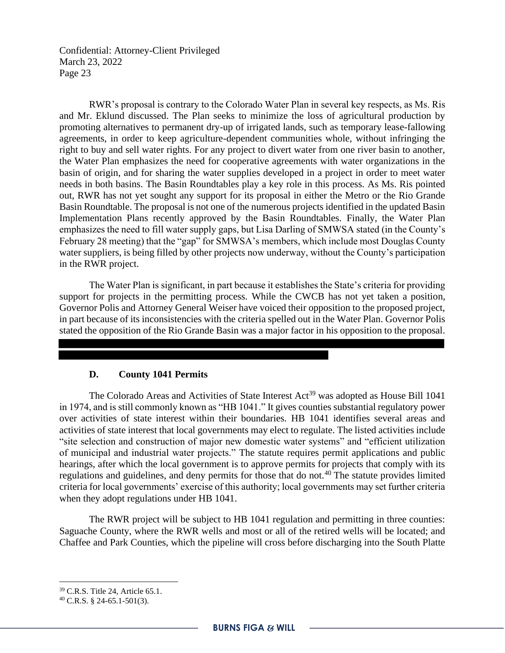RWR's proposal is contrary to the Colorado Water Plan in several key respects, as Ms. Ris and Mr. Eklund discussed. The Plan seeks to minimize the loss of agricultural production by promoting alternatives to permanent dry-up of irrigated lands, such as temporary lease-fallowing agreements, in order to keep agriculture-dependent communities whole, without infringing the right to buy and sell water rights. For any project to divert water from one river basin to another, the Water Plan emphasizes the need for cooperative agreements with water organizations in the basin of origin, and for sharing the water supplies developed in a project in order to meet water needs in both basins. The Basin Roundtables play a key role in this process. As Ms. Ris pointed out, RWR has not yet sought any support for its proposal in either the Metro or the Rio Grande Basin Roundtable. The proposal is not one of the numerous projects identified in the updated Basin Implementation Plans recently approved by the Basin Roundtables. Finally, the Water Plan emphasizes the need to fill water supply gaps, but Lisa Darling of SMWSA stated (in the County's February 28 meeting) that the "gap" for SMWSA's members, which include most Douglas County water suppliers, is being filled by other projects now underway, without the County's participation in the RWR project.

The Water Plan is significant, in part because it establishes the State's criteria for providing support for projects in the permitting process. While the CWCB has not yet taken a position, Governor Polis and Attorney General Weiser have voiced their opposition to the proposed project, in part because of its inconsistencies with the criteria spelled out in the Water Plan. Governor Polis stated the opposition of the Rio Grande Basin was a major factor in his opposition to the proposal.

#### **D. County 1041 Permits**

The Colorado Areas and Activities of State Interest  $Act^{39}$  was adopted as House Bill 1041 in 1974, and is still commonly known as "HB 1041." It gives counties substantial regulatory power over activities of state interest within their boundaries. HB 1041 identifies several areas and activities of state interest that local governments may elect to regulate. The listed activities include "site selection and construction of major new domestic water systems" and "efficient utilization of municipal and industrial water projects." The statute requires permit applications and public hearings, after which the local government is to approve permits for projects that comply with its regulations and guidelines, and deny permits for those that do not.<sup>40</sup> The statute provides limited criteria for local governments' exercise of this authority; local governments may set further criteria when they adopt regulations under HB 1041.

The RWR project will be subject to HB 1041 regulation and permitting in three counties: Saguache County, where the RWR wells and most or all of the retired wells will be located; and Chaffee and Park Counties, which the pipeline will cross before discharging into the South Platte

<sup>39</sup> C.R.S. Title 24, Article 65.1.

<sup>40</sup> C.R.S. § 24-65.1-501(3).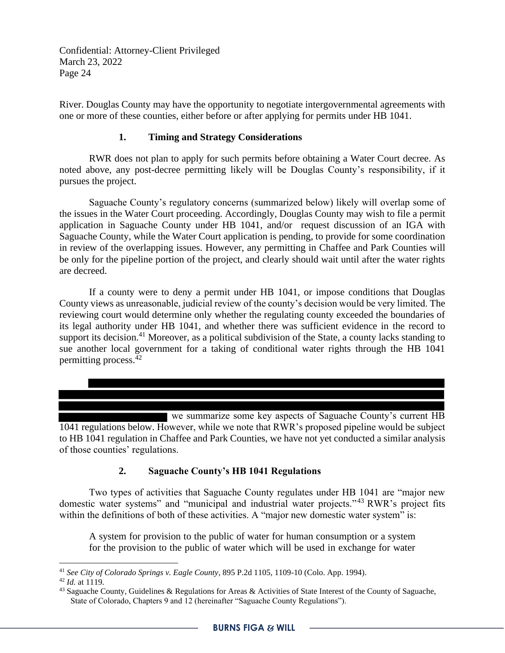River. Douglas County may have the opportunity to negotiate intergovernmental agreements with one or more of these counties, either before or after applying for permits under HB 1041.

## **1. Timing and Strategy Considerations**

RWR does not plan to apply for such permits before obtaining a Water Court decree. As noted above, any post-decree permitting likely will be Douglas County's responsibility, if it pursues the project.

Saguache County's regulatory concerns (summarized below) likely will overlap some of the issues in the Water Court proceeding. Accordingly, Douglas County may wish to file a permit application in Saguache County under HB 1041, and/or request discussion of an IGA with Saguache County, while the Water Court application is pending, to provide for some coordination in review of the overlapping issues. However, any permitting in Chaffee and Park Counties will be only for the pipeline portion of the project, and clearly should wait until after the water rights are decreed.

If a county were to deny a permit under HB 1041, or impose conditions that Douglas County views as unreasonable, judicial review of the county's decision would be very limited. The reviewing court would determine only whether the regulating county exceeded the boundaries of its legal authority under HB 1041, and whether there was sufficient evidence in the record to support its decision.<sup>41</sup> Moreover, as a political subdivision of the State, a county lacks standing to sue another local government for a taking of conditional water rights through the HB 1041 permitting process.<sup>42</sup>

we summarize some key aspects of Saguache County's current HB 1041 regulations below. However, while we note that RWR's proposed pipeline would be subject to HB 1041 regulation in Chaffee and Park Counties, we have not yet conducted a similar analysis of those counties' regulations.

# **2. Saguache County's HB 1041 Regulations**

Two types of activities that Saguache County regulates under HB 1041 are "major new domestic water systems" and "municipal and industrial water projects."<sup>43</sup> RWR's project fits within the definitions of both of these activities. A "major new domestic water system" is:

A system for provision to the public of water for human consumption or a system for the provision to the public of water which will be used in exchange for water

<sup>41</sup> *See City of Colorado Springs v. Eagle County*, 895 P.2d 1105, 1109-10 (Colo. App. 1994).

<sup>42</sup> *Id.* at 1119.

 $43$  Saguache County, Guidelines & Regulations for Areas & Activities of State Interest of the County of Saguache, State of Colorado, Chapters 9 and 12 (hereinafter "Saguache County Regulations").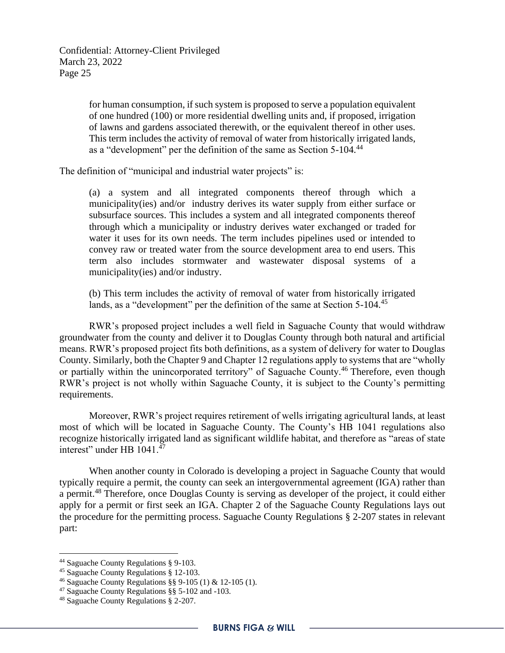for human consumption, if such system is proposed to serve a population equivalent of one hundred (100) or more residential dwelling units and, if proposed, irrigation of lawns and gardens associated therewith, or the equivalent thereof in other uses. This term includes the activity of removal of water from historically irrigated lands, as a "development" per the definition of the same as Section 5-104.<sup>44</sup>

The definition of "municipal and industrial water projects" is:

(a) a system and all integrated components thereof through which a municipality(ies) and/or industry derives its water supply from either surface or subsurface sources. This includes a system and all integrated components thereof through which a municipality or industry derives water exchanged or traded for water it uses for its own needs. The term includes pipelines used or intended to convey raw or treated water from the source development area to end users. This term also includes stormwater and wastewater disposal systems of a municipality(ies) and/or industry.

(b) This term includes the activity of removal of water from historically irrigated lands, as a "development" per the definition of the same at Section 5-104.<sup>45</sup>

RWR's proposed project includes a well field in Saguache County that would withdraw groundwater from the county and deliver it to Douglas County through both natural and artificial means. RWR's proposed project fits both definitions, as a system of delivery for water to Douglas County. Similarly, both the Chapter 9 and Chapter 12 regulations apply to systems that are "wholly or partially within the unincorporated territory" of Saguache County.<sup>46</sup> Therefore, even though RWR's project is not wholly within Saguache County, it is subject to the County's permitting requirements.

Moreover, RWR's project requires retirement of wells irrigating agricultural lands, at least most of which will be located in Saguache County. The County's HB 1041 regulations also recognize historically irrigated land as significant wildlife habitat, and therefore as "areas of state interest" under HB 1041.<sup>47</sup>

When another county in Colorado is developing a project in Saguache County that would typically require a permit, the county can seek an intergovernmental agreement (IGA) rather than a permit.<sup>48</sup> Therefore, once Douglas County is serving as developer of the project, it could either apply for a permit or first seek an IGA. Chapter 2 of the Saguache County Regulations lays out the procedure for the permitting process. Saguache County Regulations § 2-207 states in relevant part:

<sup>44</sup> Saguache County Regulations § 9-103.

<sup>45</sup> Saguache County Regulations § 12-103.

<sup>46</sup> Saguache County Regulations §§ 9-105 (1) & 12-105 (1).

<sup>47</sup> Saguache County Regulations §§ 5-102 and -103.

<sup>48</sup> Saguache County Regulations § 2-207.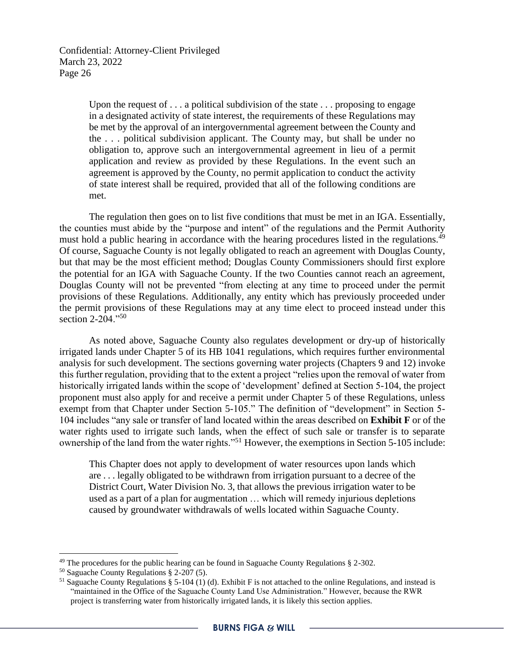> Upon the request of  $\dots$  a political subdivision of the state  $\dots$  proposing to engage in a designated activity of state interest, the requirements of these Regulations may be met by the approval of an intergovernmental agreement between the County and the . . . political subdivision applicant. The County may, but shall be under no obligation to, approve such an intergovernmental agreement in lieu of a permit application and review as provided by these Regulations. In the event such an agreement is approved by the County, no permit application to conduct the activity of state interest shall be required, provided that all of the following conditions are met.

The regulation then goes on to list five conditions that must be met in an IGA. Essentially, the counties must abide by the "purpose and intent" of the regulations and the Permit Authority must hold a public hearing in accordance with the hearing procedures listed in the regulations.<sup>49</sup> Of course, Saguache County is not legally obligated to reach an agreement with Douglas County, but that may be the most efficient method; Douglas County Commissioners should first explore the potential for an IGA with Saguache County. If the two Counties cannot reach an agreement, Douglas County will not be prevented "from electing at any time to proceed under the permit provisions of these Regulations. Additionally, any entity which has previously proceeded under the permit provisions of these Regulations may at any time elect to proceed instead under this section 2-204."<sup>50</sup>

As noted above, Saguache County also regulates development or dry-up of historically irrigated lands under Chapter 5 of its HB 1041 regulations, which requires further environmental analysis for such development. The sections governing water projects (Chapters 9 and 12) invoke this further regulation, providing that to the extent a project "relies upon the removal of water from historically irrigated lands within the scope of 'development' defined at Section 5-104, the project proponent must also apply for and receive a permit under Chapter 5 of these Regulations, unless exempt from that Chapter under Section 5-105." The definition of "development" in Section 5- 104 includes "any sale or transfer of land located within the areas described on **Exhibit F** or of the water rights used to irrigate such lands, when the effect of such sale or transfer is to separate ownership of the land from the water rights."<sup>51</sup> However, the exemptions in Section 5-105 include:

This Chapter does not apply to development of water resources upon lands which are . . . legally obligated to be withdrawn from irrigation pursuant to a decree of the District Court, Water Division No. 3, that allows the previous irrigation water to be used as a part of a plan for augmentation … which will remedy injurious depletions caused by groundwater withdrawals of wells located within Saguache County.

<sup>&</sup>lt;sup>49</sup> The procedures for the public hearing can be found in Saguache County Regulations  $\S$  2-302.

<sup>50</sup> Saguache County Regulations § 2-207 (5).

<sup>&</sup>lt;sup>51</sup> Saguache County Regulations § 5-104 (1) (d). Exhibit F is not attached to the online Regulations, and instead is "maintained in the Office of the Saguache County Land Use Administration." However, because the RWR project is transferring water from historically irrigated lands, it is likely this section applies.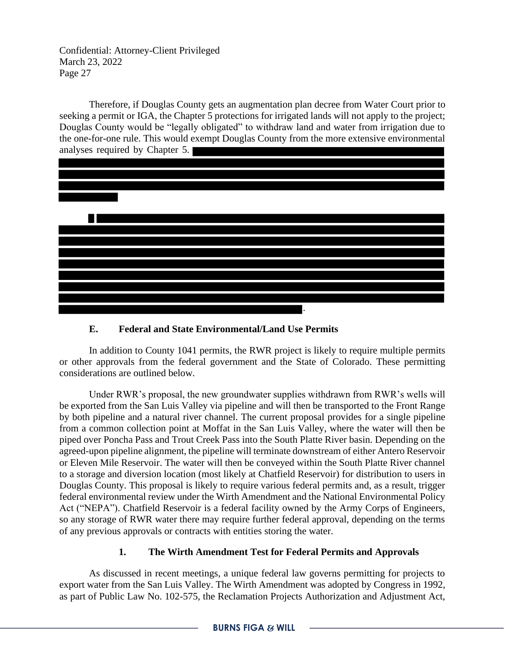Therefore, if Douglas County gets an augmentation plan decree from Water Court prior to seeking a permit or IGA, the Chapter 5 protections for irrigated lands will not apply to the project; Douglas County would be "legally obligated" to withdraw land and water from irrigation due to the one-for-one rule. This would exempt Douglas County from the more extensive environmental analyses required by Chapter 5.



### **E. Federal and State Environmental/Land Use Permits**

In addition to County 1041 permits, the RWR project is likely to require multiple permits or other approvals from the federal government and the State of Colorado. These permitting considerations are outlined below.

Under RWR's proposal, the new groundwater supplies withdrawn from RWR's wells will be exported from the San Luis Valley via pipeline and will then be transported to the Front Range by both pipeline and a natural river channel. The current proposal provides for a single pipeline from a common collection point at Moffat in the San Luis Valley, where the water will then be piped over Poncha Pass and Trout Creek Pass into the South Platte River basin. Depending on the agreed-upon pipeline alignment, the pipeline will terminate downstream of either Antero Reservoir or Eleven Mile Reservoir. The water will then be conveyed within the South Platte River channel to a storage and diversion location (most likely at Chatfield Reservoir) for distribution to users in Douglas County. This proposal is likely to require various federal permits and, as a result, trigger federal environmental review under the Wirth Amendment and the National Environmental Policy Act ("NEPA"). Chatfield Reservoir is a federal facility owned by the Army Corps of Engineers, so any storage of RWR water there may require further federal approval, depending on the terms of any previous approvals or contracts with entities storing the water.

## **1. The Wirth Amendment Test for Federal Permits and Approvals**

As discussed in recent meetings, a unique federal law governs permitting for projects to export water from the San Luis Valley. The Wirth Amendment was adopted by Congress in 1992, as part of Public Law No. 102-575, the Reclamation Projects Authorization and Adjustment Act,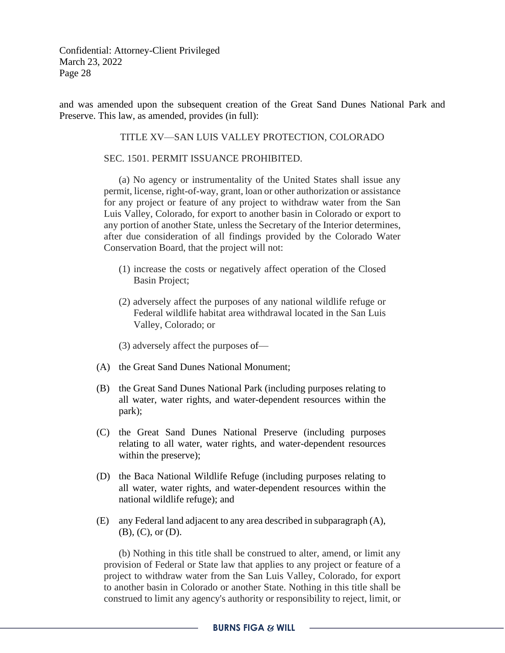and was amended upon the subsequent creation of the Great Sand Dunes National Park and Preserve. This law, as amended, provides (in full):

### TITLE XV—SAN LUIS VALLEY PROTECTION, COLORADO

#### SEC. 1501. PERMIT ISSUANCE PROHIBITED.

(a) No agency or instrumentality of the United States shall issue any permit, license, right-of-way, grant, loan or other authorization or assistance for any project or feature of any project to withdraw water from the San Luis Valley, Colorado, for export to another basin in Colorado or export to any portion of another State, unless the Secretary of the Interior determines, after due consideration of all findings provided by the Colorado Water Conservation Board, that the project will not:

- (1) increase the costs or negatively affect operation of the Closed Basin Project;
- (2) adversely affect the purposes of any national wildlife refuge or Federal wildlife habitat area withdrawal located in the San Luis Valley, Colorado; or
- (3) adversely affect the purposes of—
- (A) the Great Sand Dunes National Monument;
- (B) the Great Sand Dunes National Park (including purposes relating to all water, water rights, and water-dependent resources within the park);
- (C) the Great Sand Dunes National Preserve (including purposes relating to all water, water rights, and water-dependent resources within the preserve);
- (D) the Baca National Wildlife Refuge (including purposes relating to all water, water rights, and water-dependent resources within the national wildlife refuge); and
- (E) any Federal land adjacent to any area described in subparagraph (A), (B), (C), or (D).

(b) Nothing in this title shall be construed to alter, amend, or limit any provision of Federal or State law that applies to any project or feature of a project to withdraw water from the San Luis Valley, Colorado, for export to another basin in Colorado or another State. Nothing in this title shall be construed to limit any agency's authority or responsibility to reject, limit, or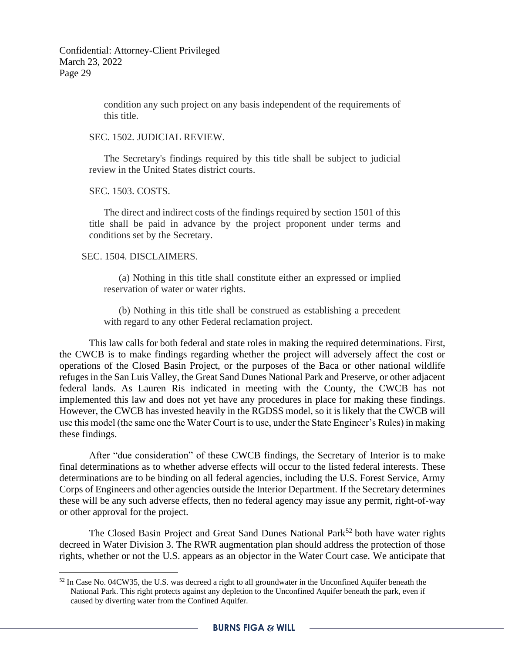condition any such project on any basis independent of the requirements of this title.

SEC. 1502. JUDICIAL REVIEW.

The Secretary's findings required by this title shall be subject to judicial review in the United States district courts.

SEC. 1503. COSTS.

The direct and indirect costs of the findings required by section 1501 of this title shall be paid in advance by the project proponent under terms and conditions set by the Secretary.

#### SEC. 1504. DISCLAIMERS.

(a) Nothing in this title shall constitute either an expressed or implied reservation of water or water rights.

(b) Nothing in this title shall be construed as establishing a precedent with regard to any other Federal reclamation project.

This law calls for both federal and state roles in making the required determinations. First, the CWCB is to make findings regarding whether the project will adversely affect the cost or operations of the Closed Basin Project, or the purposes of the Baca or other national wildlife refuges in the San Luis Valley, the Great Sand Dunes National Park and Preserve, or other adjacent federal lands. As Lauren Ris indicated in meeting with the County, the CWCB has not implemented this law and does not yet have any procedures in place for making these findings. However, the CWCB has invested heavily in the RGDSS model, so it is likely that the CWCB will use this model (the same one the Water Court is to use, under the State Engineer's Rules) in making these findings.

After "due consideration" of these CWCB findings, the Secretary of Interior is to make final determinations as to whether adverse effects will occur to the listed federal interests. These determinations are to be binding on all federal agencies, including the U.S. Forest Service, Army Corps of Engineers and other agencies outside the Interior Department. If the Secretary determines these will be any such adverse effects, then no federal agency may issue any permit, right-of-way or other approval for the project.

The Closed Basin Project and Great Sand Dunes National Park<sup>52</sup> both have water rights decreed in Water Division 3. The RWR augmentation plan should address the protection of those rights, whether or not the U.S. appears as an objector in the Water Court case. We anticipate that

<sup>&</sup>lt;sup>52</sup> In Case No. 04CW35, the U.S. was decreed a right to all groundwater in the Unconfined Aquifer beneath the National Park. This right protects against any depletion to the Unconfined Aquifer beneath the park, even if caused by diverting water from the Confined Aquifer.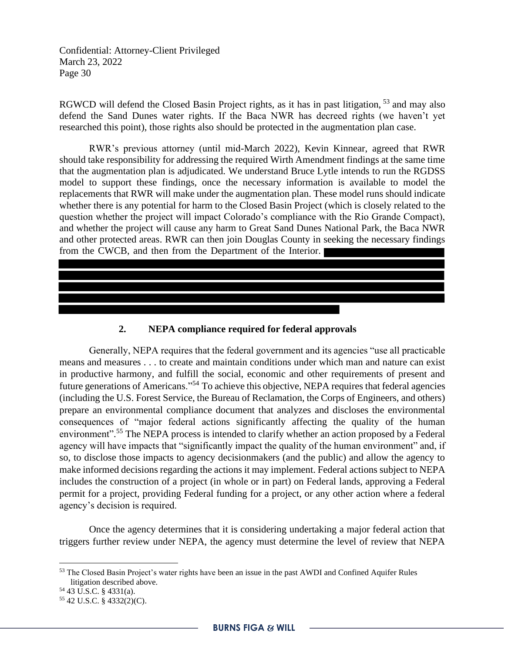RGWCD will defend the Closed Basin Project rights, as it has in past litigation, <sup>53</sup> and may also defend the Sand Dunes water rights. If the Baca NWR has decreed rights (we haven't yet researched this point), those rights also should be protected in the augmentation plan case.

RWR's previous attorney (until mid-March 2022), Kevin Kinnear, agreed that RWR should take responsibility for addressing the required Wirth Amendment findings at the same time that the augmentation plan is adjudicated. We understand Bruce Lytle intends to run the RGDSS model to support these findings, once the necessary information is available to model the replacements that RWR will make under the augmentation plan. These model runs should indicate whether there is any potential for harm to the Closed Basin Project (which is closely related to the question whether the project will impact Colorado's compliance with the Rio Grande Compact), and whether the project will cause any harm to Great Sand Dunes National Park, the Baca NWR and other protected areas. RWR can then join Douglas County in seeking the necessary findings from the CWCB, and then from the Department of the Interior.

**2. NEPA compliance required for federal approvals**

Generally, NEPA requires that the federal government and its agencies "use all practicable means and measures . . . to create and maintain conditions under which man and nature can exist in productive harmony, and fulfill the social, economic and other requirements of present and future generations of Americans."<sup>54</sup> To achieve this objective, NEPA requires that federal agencies (including the U.S. Forest Service, the Bureau of Reclamation, the Corps of Engineers, and others) prepare an environmental compliance document that analyzes and discloses the environmental consequences of "major federal actions significantly affecting the quality of the human environment".<sup>55</sup> The NEPA process is intended to clarify whether an action proposed by a Federal agency will have impacts that "significantly impact the quality of the human environment" and, if so, to disclose those impacts to agency decisionmakers (and the public) and allow the agency to make informed decisions regarding the actions it may implement. Federal actions subject to NEPA includes the construction of a project (in whole or in part) on Federal lands, approving a Federal permit for a project, providing Federal funding for a project, or any other action where a federal agency's decision is required.

Once the agency determines that it is considering undertaking a major federal action that triggers further review under NEPA, the agency must determine the level of review that NEPA

<sup>53</sup> The Closed Basin Project's water rights have been an issue in the past AWDI and Confined Aquifer Rules litigation described above.

<sup>54</sup> 43 U.S.C. § 4331(a).

<sup>55</sup> 42 U.S.C. § 4332(2)(C).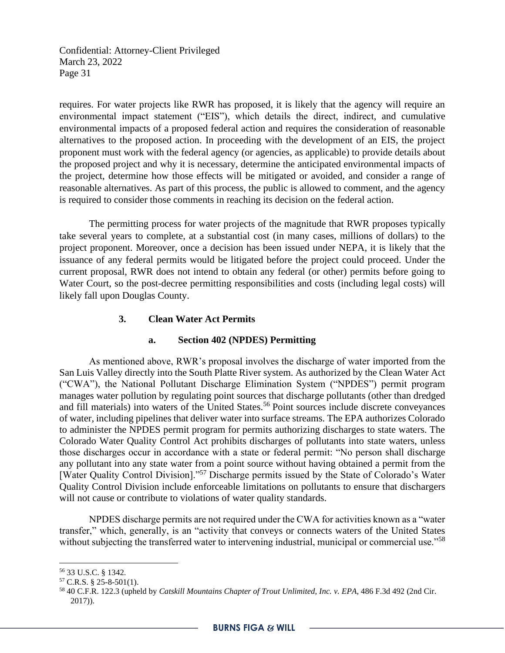requires. For water projects like RWR has proposed, it is likely that the agency will require an environmental impact statement ("EIS"), which details the direct, indirect, and cumulative environmental impacts of a proposed federal action and requires the consideration of reasonable alternatives to the proposed action. In proceeding with the development of an EIS, the project proponent must work with the federal agency (or agencies, as applicable) to provide details about the proposed project and why it is necessary, determine the anticipated environmental impacts of the project, determine how those effects will be mitigated or avoided, and consider a range of reasonable alternatives. As part of this process, the public is allowed to comment, and the agency is required to consider those comments in reaching its decision on the federal action.

The permitting process for water projects of the magnitude that RWR proposes typically take several years to complete, at a substantial cost (in many cases, millions of dollars) to the project proponent. Moreover, once a decision has been issued under NEPA, it is likely that the issuance of any federal permits would be litigated before the project could proceed. Under the current proposal, RWR does not intend to obtain any federal (or other) permits before going to Water Court, so the post-decree permitting responsibilities and costs (including legal costs) will likely fall upon Douglas County.

### **3. Clean Water Act Permits**

#### **a. Section 402 (NPDES) Permitting**

As mentioned above, RWR's proposal involves the discharge of water imported from the San Luis Valley directly into the South Platte River system. As authorized by the Clean Water Act ("CWA"), the National Pollutant Discharge Elimination System ("NPDES") permit program manages water pollution by regulating point sources that discharge pollutants (other than dredged and fill materials) into waters of the United States.<sup>56</sup> Point sources include discrete conveyances of water, including pipelines that deliver water into surface streams. The EPA authorizes Colorado to administer the NPDES permit program for permits authorizing discharges to state waters. The Colorado Water Quality Control Act prohibits discharges of pollutants into state waters, unless those discharges occur in accordance with a state or federal permit: "No person shall discharge any pollutant into any state water from a point source without having obtained a permit from the [Water Quality Control Division]."<sup>57</sup> Discharge permits issued by the State of Colorado's Water Quality Control Division include enforceable limitations on pollutants to ensure that dischargers will not cause or contribute to violations of water quality standards.

NPDES discharge permits are not required under the CWA for activities known as a "water transfer," which, generally, is an "activity that conveys or connects waters of the United States without subjecting the transferred water to intervening industrial, municipal or commercial use."<sup>58</sup>

<sup>56</sup> 33 U.S.C. § 1342.

 $57$  C.R.S. § 25-8-501(1).

<sup>58</sup> 40 C.F.R. 122.3 (upheld by *Catskill Mountains Chapter of Trout Unlimited, Inc. v. EPA*, 486 F.3d 492 (2nd Cir. 2017)).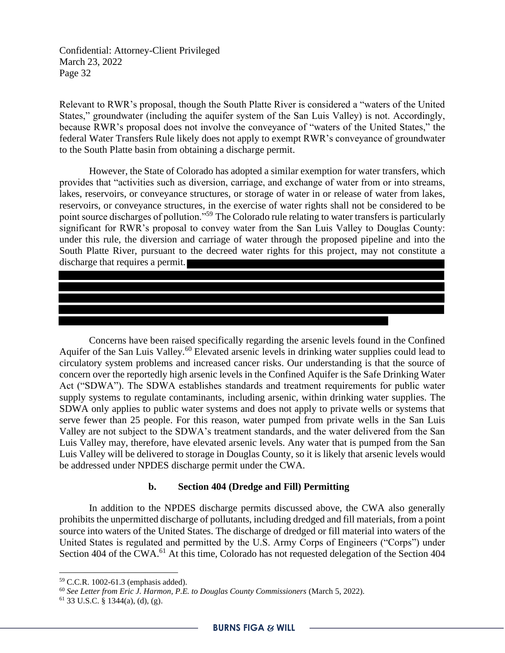Relevant to RWR's proposal, though the South Platte River is considered a "waters of the United States," groundwater (including the aquifer system of the San Luis Valley) is not. Accordingly, because RWR's proposal does not involve the conveyance of "waters of the United States," the federal Water Transfers Rule likely does not apply to exempt RWR's conveyance of groundwater to the South Platte basin from obtaining a discharge permit.

However, the State of Colorado has adopted a similar exemption for water transfers, which provides that "activities such as diversion, carriage, and exchange of water from or into streams, lakes, reservoirs, or conveyance structures, or storage of water in or release of water from lakes, reservoirs, or conveyance structures, in the exercise of water rights shall not be considered to be point source discharges of pollution."<sup>59</sup> The Colorado rule relating to water transfers is particularly significant for RWR's proposal to convey water from the San Luis Valley to Douglas County: under this rule, the diversion and carriage of water through the proposed pipeline and into the South Platte River, pursuant to the decreed water rights for this project, may not constitute a discharge that requires a permit.

Concerns have been raised specifically regarding the arsenic levels found in the Confined Aquifer of the San Luis Valley.<sup>60</sup> Elevated arsenic levels in drinking water supplies could lead to circulatory system problems and increased cancer risks. Our understanding is that the source of concern over the reportedly high arsenic levels in the Confined Aquifer is the Safe Drinking Water Act ("SDWA"). The SDWA establishes standards and treatment requirements for public water supply systems to regulate contaminants, including arsenic, within drinking water supplies. The SDWA only applies to public water systems and does not apply to private wells or systems that serve fewer than 25 people. For this reason, water pumped from private wells in the San Luis Valley are not subject to the SDWA's treatment standards, and the water delivered from the San Luis Valley may, therefore, have elevated arsenic levels. Any water that is pumped from the San Luis Valley will be delivered to storage in Douglas County, so it is likely that arsenic levels would be addressed under NPDES discharge permit under the CWA.

#### **b. Section 404 (Dredge and Fill) Permitting**

In addition to the NPDES discharge permits discussed above, the CWA also generally prohibits the unpermitted discharge of pollutants, including dredged and fill materials, from a point source into waters of the United States. The discharge of dredged or fill material into waters of the United States is regulated and permitted by the U.S. Army Corps of Engineers ("Corps") under Section 404 of the CWA.<sup>61</sup> At this time, Colorado has not requested delegation of the Section 404

<sup>59</sup> C.C.R. 1002-61.3 (emphasis added).

<sup>60</sup> *See Letter from Eric J. Harmon, P.E. to Douglas County Commissioners* (March 5, 2022).

 $61$  33 U.S.C. § 1344(a), (d), (g).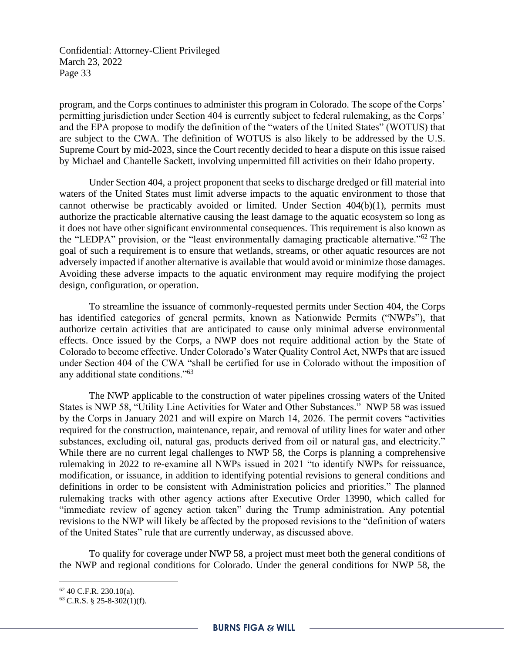program, and the Corps continues to administer this program in Colorado. The scope of the Corps' permitting jurisdiction under Section 404 is currently subject to federal rulemaking, as the Corps' and the EPA propose to modify the definition of the "waters of the United States" (WOTUS) that are subject to the CWA. The definition of WOTUS is also likely to be addressed by the U.S. Supreme Court by mid-2023, since the Court recently decided to hear a dispute on this issue raised by Michael and Chantelle Sackett, involving unpermitted fill activities on their Idaho property.

Under Section 404, a project proponent that seeks to discharge dredged or fill material into waters of the United States must limit adverse impacts to the aquatic environment to those that cannot otherwise be practicably avoided or limited. Under Section 404(b)(1), permits must authorize the practicable alternative causing the least damage to the aquatic ecosystem so long as it does not have other significant environmental consequences. This requirement is also known as the "LEDPA" provision, or the "least environmentally damaging practicable alternative."<sup>62</sup> The goal of such a requirement is to ensure that wetlands, streams, or other aquatic resources are not adversely impacted if another alternative is available that would avoid or minimize those damages. Avoiding these adverse impacts to the aquatic environment may require modifying the project design, configuration, or operation.

To streamline the issuance of commonly-requested permits under Section 404, the Corps has identified categories of general permits, known as Nationwide Permits ("NWPs"), that authorize certain activities that are anticipated to cause only minimal adverse environmental effects. Once issued by the Corps, a NWP does not require additional action by the State of Colorado to become effective. Under Colorado's Water Quality Control Act, NWPs that are issued under Section 404 of the CWA "shall be certified for use in Colorado without the imposition of any additional state conditions."<sup>63</sup>

The NWP applicable to the construction of water pipelines crossing waters of the United States is NWP 58, "Utility Line Activities for Water and Other Substances." NWP 58 was issued by the Corps in January 2021 and will expire on March 14, 2026. The permit covers "activities required for the construction, maintenance, repair, and removal of utility lines for water and other substances, excluding oil, natural gas, products derived from oil or natural gas, and electricity." While there are no current legal challenges to NWP 58, the Corps is planning a comprehensive rulemaking in 2022 to re-examine all NWPs issued in 2021 "to identify NWPs for reissuance, modification, or issuance, in addition to identifying potential revisions to general conditions and definitions in order to be consistent with Administration policies and priorities." The planned rulemaking tracks with other agency actions after Executive Order 13990, which called for "immediate review of agency action taken" during the Trump administration. Any potential revisions to the NWP will likely be affected by the proposed revisions to the "definition of waters of the United States" rule that are currently underway, as discussed above.

To qualify for coverage under NWP 58, a project must meet both the general conditions of the NWP and regional conditions for Colorado. Under the general conditions for NWP 58, the

 $62$  40 C.F.R. 230.10(a).

 $63$  C.R.S. § 25-8-302(1)(f).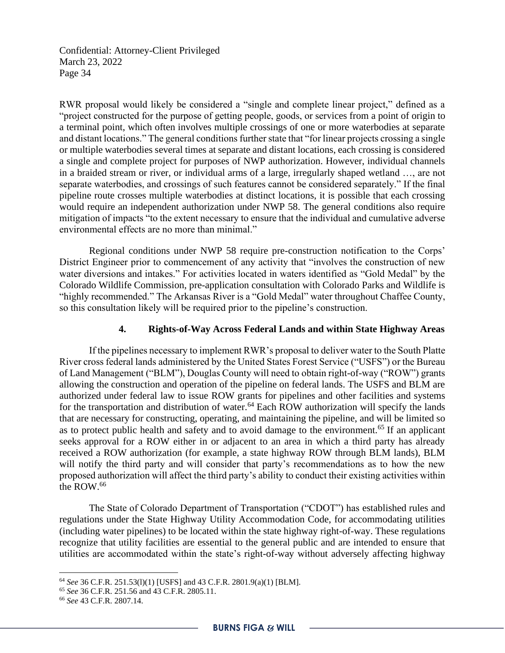RWR proposal would likely be considered a "single and complete linear project," defined as a "project constructed for the purpose of getting people, goods, or services from a point of origin to a terminal point, which often involves multiple crossings of one or more waterbodies at separate and distant locations." The general conditions further state that "for linear projects crossing a single or multiple waterbodies several times at separate and distant locations, each crossing is considered a single and complete project for purposes of NWP authorization. However, individual channels in a braided stream or river, or individual arms of a large, irregularly shaped wetland …, are not separate waterbodies, and crossings of such features cannot be considered separately." If the final pipeline route crosses multiple waterbodies at distinct locations, it is possible that each crossing would require an independent authorization under NWP 58. The general conditions also require mitigation of impacts "to the extent necessary to ensure that the individual and cumulative adverse environmental effects are no more than minimal."

Regional conditions under NWP 58 require pre-construction notification to the Corps' District Engineer prior to commencement of any activity that "involves the construction of new water diversions and intakes." For activities located in waters identified as "Gold Medal" by the Colorado Wildlife Commission, pre-application consultation with Colorado Parks and Wildlife is "highly recommended." The Arkansas River is a "Gold Medal" water throughout Chaffee County, so this consultation likely will be required prior to the pipeline's construction.

### **4. Rights-of-Way Across Federal Lands and within State Highway Areas**

If the pipelines necessary to implement RWR's proposal to deliver water to the South Platte River cross federal lands administered by the United States Forest Service ("USFS") or the Bureau of Land Management ("BLM"), Douglas County will need to obtain right-of-way ("ROW") grants allowing the construction and operation of the pipeline on federal lands. The USFS and BLM are authorized under federal law to issue ROW grants for pipelines and other facilities and systems for the transportation and distribution of water.<sup>64</sup> Each ROW authorization will specify the lands that are necessary for constructing, operating, and maintaining the pipeline, and will be limited so as to protect public health and safety and to avoid damage to the environment.<sup>65</sup> If an applicant seeks approval for a ROW either in or adjacent to an area in which a third party has already received a ROW authorization (for example, a state highway ROW through BLM lands), BLM will notify the third party and will consider that party's recommendations as to how the new proposed authorization will affect the third party's ability to conduct their existing activities within the ROW.<sup>66</sup>

The State of Colorado Department of Transportation ("CDOT") has established rules and regulations under the State Highway Utility Accommodation Code, for accommodating utilities (including water pipelines) to be located within the state highway right-of-way. These regulations recognize that utility facilities are essential to the general public and are intended to ensure that utilities are accommodated within the state's right-of-way without adversely affecting highway

<sup>64</sup> *See* 36 C.F.R. 251.53(l)(1) [USFS] and 43 C.F.R. 2801.9(a)(1) [BLM].

<sup>65</sup> *See* 36 C.F.R. 251.56 and 43 C.F.R. 2805.11.

<sup>66</sup> *See* 43 C.F.R. 2807.14.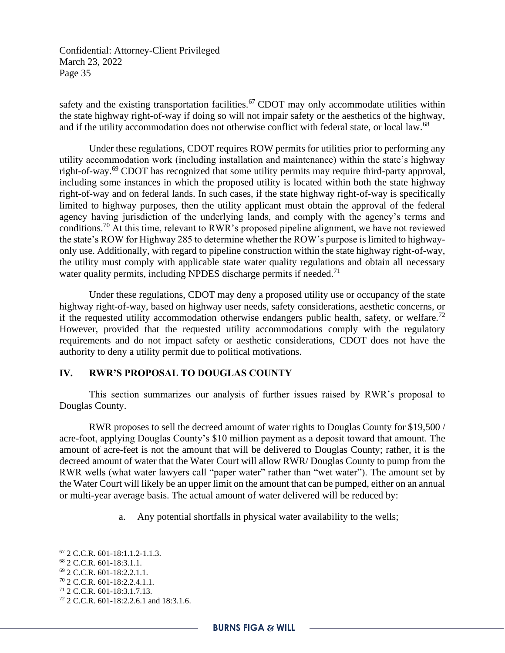safety and the existing transportation facilities.<sup>67</sup> CDOT may only accommodate utilities within the state highway right-of-way if doing so will not impair safety or the aesthetics of the highway, and if the utility accommodation does not otherwise conflict with federal state, or local law.<sup>68</sup>

Under these regulations, CDOT requires ROW permits for utilities prior to performing any utility accommodation work (including installation and maintenance) within the state's highway right-of-way.<sup>69</sup> CDOT has recognized that some utility permits may require third-party approval, including some instances in which the proposed utility is located within both the state highway right-of-way and on federal lands. In such cases, if the state highway right-of-way is specifically limited to highway purposes, then the utility applicant must obtain the approval of the federal agency having jurisdiction of the underlying lands, and comply with the agency's terms and conditions.<sup>70</sup> At this time, relevant to RWR's proposed pipeline alignment, we have not reviewed the state's ROW for Highway 285 to determine whether the ROW's purpose is limited to highwayonly use. Additionally, with regard to pipeline construction within the state highway right-of-way, the utility must comply with applicable state water quality regulations and obtain all necessary water quality permits, including NPDES discharge permits if needed.<sup>71</sup>

Under these regulations, CDOT may deny a proposed utility use or occupancy of the state highway right-of-way, based on highway user needs, safety considerations, aesthetic concerns, or if the requested utility accommodation otherwise endangers public health, safety, or welfare.<sup>72</sup> However, provided that the requested utility accommodations comply with the regulatory requirements and do not impact safety or aesthetic considerations, CDOT does not have the authority to deny a utility permit due to political motivations.

### **IV. RWR'S PROPOSAL TO DOUGLAS COUNTY**

This section summarizes our analysis of further issues raised by RWR's proposal to Douglas County.

RWR proposes to sell the decreed amount of water rights to Douglas County for \$19,500 / acre-foot, applying Douglas County's \$10 million payment as a deposit toward that amount. The amount of acre-feet is not the amount that will be delivered to Douglas County; rather, it is the decreed amount of water that the Water Court will allow RWR/ Douglas County to pump from the RWR wells (what water lawyers call "paper water" rather than "wet water"). The amount set by the Water Court will likely be an upper limit on the amount that can be pumped, either on an annual or multi-year average basis. The actual amount of water delivered will be reduced by:

a. Any potential shortfalls in physical water availability to the wells;

- <sup>69</sup> 2 C.C.R. 601-18:2.2.1.1.
- <sup>70</sup> 2 C.C.R. 601-18:2.2.4.1.1.

<sup>67</sup> 2 C.C.R. 601-18:1.1.2-1.1.3.

<sup>68</sup> 2 C.C.R. 601-18:3.1.1.

<sup>71</sup> 2 C.C.R. 601-18:3.1.7.13.

<sup>72</sup> 2 C.C.R. 601-18:2.2.6.1 and 18:3.1.6.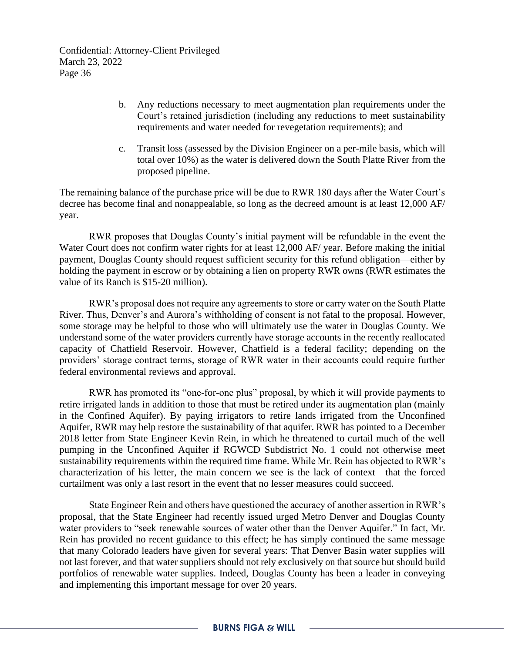- b. Any reductions necessary to meet augmentation plan requirements under the Court's retained jurisdiction (including any reductions to meet sustainability requirements and water needed for revegetation requirements); and
- c. Transit loss (assessed by the Division Engineer on a per-mile basis, which will total over 10%) as the water is delivered down the South Platte River from the proposed pipeline.

The remaining balance of the purchase price will be due to RWR 180 days after the Water Court's decree has become final and nonappealable, so long as the decreed amount is at least 12,000 AF/ year.

RWR proposes that Douglas County's initial payment will be refundable in the event the Water Court does not confirm water rights for at least 12,000 AF/ year. Before making the initial payment, Douglas County should request sufficient security for this refund obligation—either by holding the payment in escrow or by obtaining a lien on property RWR owns (RWR estimates the value of its Ranch is \$15-20 million).

RWR's proposal does not require any agreements to store or carry water on the South Platte River. Thus, Denver's and Aurora's withholding of consent is not fatal to the proposal. However, some storage may be helpful to those who will ultimately use the water in Douglas County. We understand some of the water providers currently have storage accounts in the recently reallocated capacity of Chatfield Reservoir. However, Chatfield is a federal facility; depending on the providers' storage contract terms, storage of RWR water in their accounts could require further federal environmental reviews and approval.

RWR has promoted its "one-for-one plus" proposal, by which it will provide payments to retire irrigated lands in addition to those that must be retired under its augmentation plan (mainly in the Confined Aquifer). By paying irrigators to retire lands irrigated from the Unconfined Aquifer, RWR may help restore the sustainability of that aquifer. RWR has pointed to a December 2018 letter from State Engineer Kevin Rein, in which he threatened to curtail much of the well pumping in the Unconfined Aquifer if RGWCD Subdistrict No. 1 could not otherwise meet sustainability requirements within the required time frame. While Mr. Rein has objected to RWR's characterization of his letter, the main concern we see is the lack of context—that the forced curtailment was only a last resort in the event that no lesser measures could succeed.

State Engineer Rein and others have questioned the accuracy of another assertion in RWR's proposal, that the State Engineer had recently issued urged Metro Denver and Douglas County water providers to "seek renewable sources of water other than the Denver Aquifer." In fact, Mr. Rein has provided no recent guidance to this effect; he has simply continued the same message that many Colorado leaders have given for several years: That Denver Basin water supplies will not last forever, and that water suppliers should not rely exclusively on that source but should build portfolios of renewable water supplies. Indeed, Douglas County has been a leader in conveying and implementing this important message for over 20 years.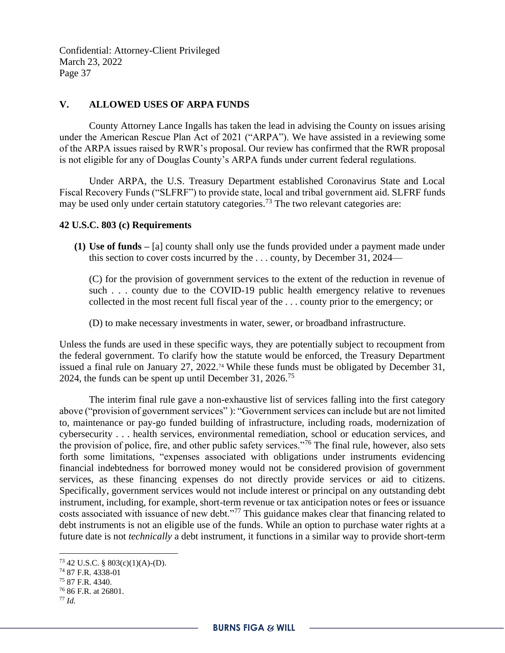### **V. ALLOWED USES OF ARPA FUNDS**

County Attorney Lance Ingalls has taken the lead in advising the County on issues arising under the American Rescue Plan Act of 2021 ("ARPA"). We have assisted in a reviewing some of the ARPA issues raised by RWR's proposal. Our review has confirmed that the RWR proposal is not eligible for any of Douglas County's ARPA funds under current federal regulations.

Under ARPA, the U.S. Treasury Department established Coronavirus State and Local Fiscal Recovery Funds ("SLFRF") to provide state, local and tribal government aid. SLFRF funds may be used only under certain statutory categories.<sup>73</sup> The two relevant categories are:

#### **42 U.S.C. 803 (c) Requirements**

**(1) Use of funds –** [a] county shall only use the funds provided under a payment made under this section to cover costs incurred by the . . . county, by December 31, 2024—

(C) for the provision of government services to the extent of the reduction in revenue of such . . . county due to the COVID-19 public health emergency relative to revenues collected in the most recent full fiscal year of the . . . county prior to the emergency; or

(D) to make necessary investments in water, sewer, or broadband infrastructure.

Unless the funds are used in these specific ways, they are potentially subject to recoupment from the federal government. To clarify how the statute would be enforced, the Treasury Department issued a final rule on January 27, 2022.<sup>74</sup> While these funds must be obligated by December 31, 2024, the funds can be spent up until December 31, 2026.<sup>75</sup>

The interim final rule gave a non-exhaustive list of services falling into the first category above ("provision of government services" ): "Government services can include but are not limited to, maintenance or pay-go funded building of infrastructure, including roads, modernization of cybersecurity . . . health services, environmental remediation, school or education services, and the provision of police, fire, and other public safety services."<sup>76</sup> The final rule, however, also sets forth some limitations, "expenses associated with obligations under instruments evidencing financial indebtedness for borrowed money would not be considered provision of government services, as these financing expenses do not directly provide services or aid to citizens. Specifically, government services would not include interest or principal on any outstanding debt instrument, including, for example, short-term revenue or tax anticipation notes or fees or issuance costs associated with issuance of new debt."<sup>77</sup> This guidance makes clear that financing related to debt instruments is not an eligible use of the funds. While an option to purchase water rights at a future date is not *technically* a debt instrument, it functions in a similar way to provide short-term

 $73$  42 U.S.C. § 803(c)(1)(A)-(D).

<sup>74</sup> 87 F.R. 4338-01

<sup>75</sup> 87 F.R. 4340.

<sup>76</sup> 86 F.R. at 26801.

<sup>77</sup> *Id.*